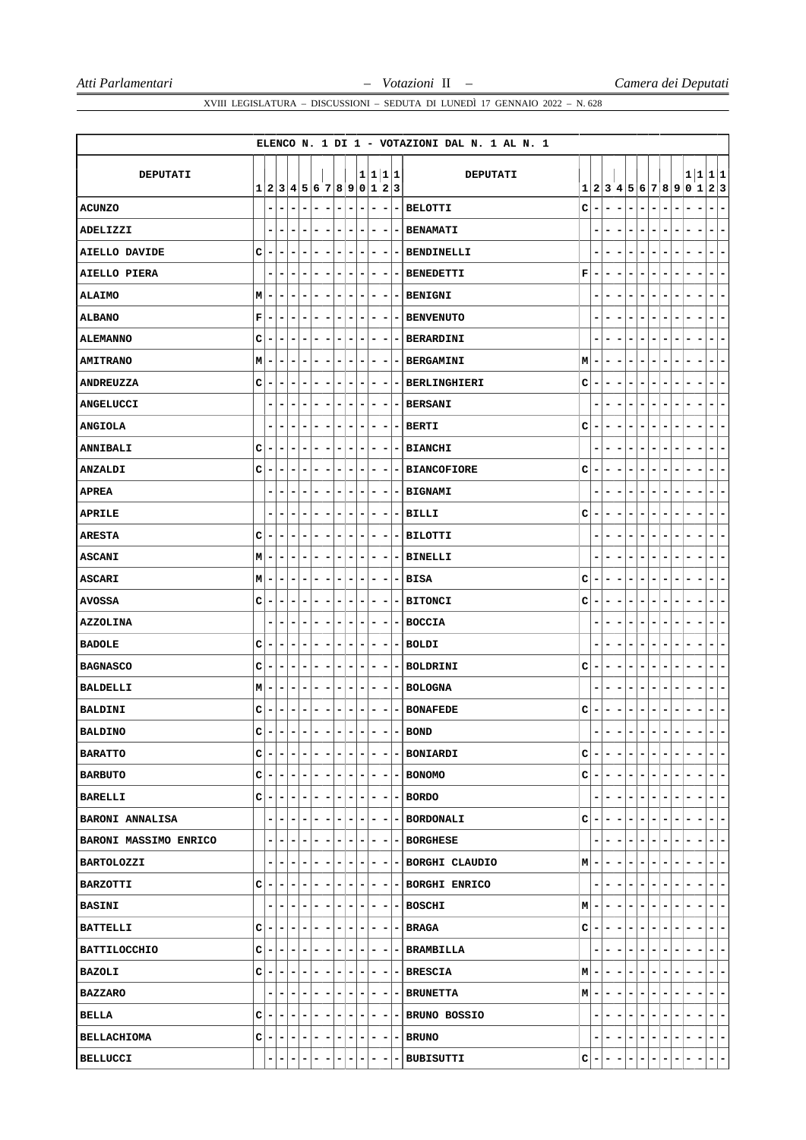|                        |             |   |                           |                              |                          |                          |                              |                          |                              |                          |                          |                              |                | ELENCO N. 1 DI 1 - VOTAZIONI DAL N. 1 AL N. 1 |    |                          |   |                          |   |                                   |                               |    |                          |   |                                      |
|------------------------|-------------|---|---------------------------|------------------------------|--------------------------|--------------------------|------------------------------|--------------------------|------------------------------|--------------------------|--------------------------|------------------------------|----------------|-----------------------------------------------|----|--------------------------|---|--------------------------|---|-----------------------------------|-------------------------------|----|--------------------------|---|--------------------------------------|
|                        |             |   |                           |                              |                          |                          |                              |                          |                              |                          |                          |                              |                |                                               |    |                          |   |                          |   |                                   |                               |    |                          |   |                                      |
| DEPUTATI               |             |   | 1 2 3 4 5 6 7 8 9 0 1 2 3 |                              |                          |                          |                              |                          |                              |                          | 1 1 1 1                  |                              |                | <b>DEPUTATI</b>                               |    |                          |   |                          |   |                                   |                               |    |                          |   | 1 1 1 1<br>1 2 3 4 5 6 7 8 9 0 1 2 3 |
| <b>ACUNZO</b>          |             | - | -                         | $\blacksquare$               | -                        | $\overline{\phantom{0}}$ | -                            | $\overline{\phantom{a}}$ | -                            | -                        | $\overline{\phantom{a}}$ | -                            | ۰.             | <b>BELOTTI</b>                                | c  | $\overline{a}$           | - | $\overline{\phantom{0}}$ | - | -<br>$\overline{\phantom{0}}$     | -                             | -  | ۰                        | - | -<br>-                               |
| ADELIZZI               |             |   | $\overline{\phantom{0}}$  |                              | $\overline{a}$           | -                        | -                            | $\blacksquare$           | $\overline{a}$               | -                        | $\overline{\phantom{a}}$ | -                            | ۰              | <b>BENAMATI</b>                               |    |                          |   |                          |   |                                   |                               |    | ۰                        |   | $\overline{\phantom{a}}$<br>-        |
| <b>AIELLO DAVIDE</b>   | C           | ۰ | -                         | -                            | ۰                        | $\overline{a}$           | $\qquad \qquad \blacksquare$ | $\overline{\phantom{a}}$ | -                            | -                        | -                        | $\overline{\phantom{a}}$     | $\blacksquare$ | <b>BENDINELLI</b>                             |    | ۰                        | - | -                        | - | -<br>$\overline{\phantom{a}}$     | -                             | -  | $\overline{a}$           | - | -<br>-                               |
| AIELLO PIERA           |             | - | -                         | -                            | -                        | -                        | ۰                            | -                        | -                            | ۰                        | -                        | $\overline{\phantom{a}}$     | -              | <b>BENEDETTI</b>                              | F  | -                        | - | $\overline{a}$           | - | -<br>$\overline{a}$               | -                             |    |                          |   | -<br>-                               |
| <b>ALAIMO</b>          | М           |   | ۰                         |                              | -                        | -                        | -                            | $\overline{a}$           | -                            |                          | ۰                        | -                            |                | <b>BENIGNI</b>                                |    |                          |   |                          |   |                                   |                               |    |                          |   | ۰<br>-                               |
| <b>ALBANO</b>          | $\mathbf F$ | ۰ | ۰                         | ۰                            | ۰                        | ۰                        | ۰                            | -                        | ۰                            | ۰                        | ۰                        | -                            | ٠              | <b>BENVENUTO</b>                              |    | ٠                        | - | -                        | ۰ | ۰<br>-                            | -                             |    |                          |   | ۰<br>۰                               |
| <b>ALEMANNO</b>        | C           | - | -                         | -                            | ۰                        | $\overline{a}$           | -                            | -                        | -                            | ۰                        | -                        | -                            | -              | BERARDINI                                     |    | ۰                        | - | -                        | - | -<br>$\overline{a}$               | -                             |    | -                        | - | ۰<br>۰                               |
| <b>AMITRANO</b>        | M           |   | -                         | -                            | ۰                        | -                        | -                            | -                        | -                            | ۰                        | -                        | -                            | ۰              | <b>BERGAMINI</b>                              | мI | -                        | - | $\overline{\phantom{a}}$ | ۰ | $\overline{\phantom{a}}$<br>-     |                               |    |                          |   | ۰<br>-                               |
| <b>ANDREUZZA</b>       | c           |   | -                         | ۰                            | ۰                        | -                        | ۰                            | -                        | -                            | ۰                        | -                        | ۰                            | ٠              | BERLINGHIERI                                  | c  | ۰                        | ۰ | -                        | - | ۰<br>$\overline{\phantom{a}}$     | -                             | -  | -                        |   | -<br>۰                               |
| <b>ANGELUCCI</b>       |             |   | -                         | -                            | ۰                        | -                        | -                            | -                        | -                            | -                        | -                        | -                            | ۰              | <b>BERSANI</b>                                |    | ۰                        | - |                          | - | -<br>-                            | -                             |    | ۰                        |   | -<br>-                               |
| <b>ANGIOLA</b>         |             | - | ۰                         | -                            | ۰                        | -                        | ۰                            | -                        | ۰                            | ۰                        | -                        | -                            | ۰              | <b>BERTI</b>                                  | c  | ۰                        | - | -                        | ۰ | ۰<br>$\overline{\phantom{a}}$     | -                             |    | ٠                        |   | ۰<br>۰                               |
| <b>ANNIBALI</b>        | c           | - | -                         | -                            | -                        | -                        | -                            | -                        | -                            | -                        | -                        | -                            | ۰              | <b>BIANCHI</b>                                |    |                          |   |                          |   |                                   |                               |    |                          |   | $\qquad \qquad \blacksquare$<br>-    |
| <b>ANZALDI</b>         | c           |   | -                         | -                            | -                        | -                        | ۰                            | -                        | -                            | ۰                        | -                        | -                            | ۰              | <b>BIANCOFIORE</b>                            | c  | -                        |   |                          | - | -<br>۰                            | -                             |    | ٠                        |   | -<br>-                               |
| <b>APREA</b>           |             | - | ۰                         | -                            | -                        | -                        | ۰                            | -                        | ۰                            | ۰                        | ۰                        | ۰                            |                | - BIGNAMI                                     |    | ۰                        | ۰ | -                        | ۰ | -<br>-                            |                               |    |                          |   | Ξ.<br>۰                              |
| <b>APRILE</b>          |             | - | $\qquad \qquad -$         | -                            | -                        | -                        | -                            | $\overline{\phantom{a}}$ | $\qquad \qquad \blacksquare$ | -                        | -                        | -                            |                | -   BILLI                                     | c  | -                        | - | -                        |   | -<br>$\qquad \qquad \blacksquare$ | -                             |    | $\overline{a}$           |   | $\overline{\phantom{a}}$<br>-        |
| <b>ARESTA</b>          | C           | - | -                         | -                            | $\overline{\phantom{a}}$ | -                        | -                            | $\overline{\phantom{a}}$ | -                            | -                        | -                        | $\overline{\phantom{a}}$     | ۰              | <b>BILOTTI</b>                                |    | -                        |   | $\overline{a}$           | ۳ | $\qquad \qquad \blacksquare$<br>- | -                             |    |                          |   | $\qquad \qquad \blacksquare$<br>-    |
| <b>ASCANI</b>          | М           | - | ۰                         | -                            | ۰                        | -                        | ۰                            | -                        | -                            | ۰                        | -                        | ۰                            | ۰.             | <b>BINELLI</b>                                |    |                          | ۰ | -                        | ۰ | -<br>$\overline{a}$               |                               |    |                          |   | Ξ.<br>-                              |
| ASCARI                 | М           |   | -                         |                              | -                        | -                        | ۰                            | -                        | -                            | -                        | -                        | -                            | -              | <b>BISA</b>                                   | с  | -                        |   |                          |   |                                   |                               |    |                          |   | -<br>-                               |
| <b>AVOSSA</b>          | c           | ۰ | ۰                         | $\qquad \qquad \blacksquare$ | -                        | ۰                        | ۰                            | ۰                        | ۰                            | ۰                        | ۰                        | -                            | ۰              | <b>BITONCI</b>                                | c  | -                        | ۰ | -                        | - | ۰<br>-                            | -                             | ۰  | -                        | - | ٠<br>۰                               |
| <b>AZZOLINA</b>        |             | - | -                         | ۰                            | ۰                        | -                        | ۰                            | -                        | -                            | ۰                        | -                        | -                            | ۰              | <b>BOCCIA</b>                                 |    | ٠                        | - | $\overline{a}$           | - | -<br>-                            | -                             |    | ۰                        | - | ۰<br>۰                               |
| <b>BADOLE</b>          | c           |   | -                         | -                            | -                        | -                        | -                            | -                        | -                            | -                        | -                        | -                            |                | <b>BOLDI</b>                                  |    |                          |   |                          |   |                                   |                               |    |                          |   | -<br>-                               |
| <b>BAGNASCO</b>        | C           | ۰ | ۰                         | $\qquad \qquad \blacksquare$ | ۰                        | ۰                        | ۰                            | ۰                        | ۰                            | ۰                        | ۰                        | -                            | ۰              | BOLDRINI                                      | c  | ۰                        | ۰ | $\overline{\phantom{a}}$ | - | ۰<br>-                            | -                             | -  | ۰                        | - | -<br>۰                               |
| <b>BALDELLI</b>        | Μ           | - | ۰                         | ۰                            | ۰                        | -                        | ۰                            | -                        | -                            | ۰                        | -                        | $\overline{\phantom{a}}$     | ۰              | <b>BOLOGNA</b>                                |    | ٠                        | - | -                        | - | -<br>$\overline{\phantom{a}}$     | -                             |    |                          | - | ۰<br>۰                               |
| <b>BALDINI</b>         | c           |   | -                         |                              |                          | -                        | -                            |                          |                              |                          | -                        | -                            |                | <b>BONAFEDE</b>                               | с  | -                        |   |                          |   |                                   |                               |    |                          |   | -<br>۰                               |
| <b>BALDINO</b>         | C           | ۰ | $\left  \cdot \right $    | $\overline{\phantom{0}}$     | ۰                        | $\overline{\phantom{a}}$ | ۰                            | ۰                        | -                            | $\overline{\phantom{a}}$ | $\overline{\phantom{0}}$ | -                            |                | - BOND                                        |    | $\overline{\phantom{0}}$ | - | $\overline{\phantom{a}}$ | - | -                                 | -<br>$\overline{\phantom{a}}$ | Ξ. | $\overline{\phantom{a}}$ | - | ٠<br>۰                               |
| <b>BARATTO</b>         | c           |   | ۰                         |                              | -                        | -                        | -                            | -                        | ۳                            | -                        | ۰                        | $\qquad \qquad \blacksquare$ | -              | BONIARDI                                      | с  | -                        |   |                          | ۳ | $\blacksquare$                    | -                             |    |                          |   | -<br>-                               |
| <b>BARBUTO</b>         | c           | - | ۰                         |                              | $\overline{\phantom{a}}$ | -                        | ۰                            | -                        | -                            | ۰                        | -                        | $\overline{\phantom{a}}$     | -              | <b>BONOMO</b>                                 | c  | ۰                        |   |                          |   |                                   |                               |    |                          |   | $\overline{\phantom{a}}$<br>۰        |
| <b>BARELLI</b>         | c           | - | ۰                         | $\overline{\phantom{0}}$     | -                        | ۰                        | ۰                            | $\overline{\phantom{a}}$ | -                            | -                        | ۰                        | $\overline{\phantom{a}}$     | ٠              | <b>BORDO</b>                                  |    | ۰                        | ۰ |                          | - | ۰<br>$\overline{\phantom{a}}$     |                               |    | -                        |   | ۰<br>۰.                              |
| <b>BARONI ANNALISA</b> |             | - | -                         |                              | -                        | -                        | ۰                            | -                        | -                            | ۰                        | ۰                        | -                            | ۰              | <b>BORDONALI</b>                              | с  | $\overline{\phantom{a}}$ |   |                          | - | -                                 | -                             |    |                          |   | ۰<br>۰                               |
| BARONI MASSIMO ENRICO  |             | - | ۰                         |                              | -                        | ۰                        | ۰                            | -                        | ۰                            | ۰                        | ۰                        | ۰                            | ۰              | <b>BORGHESE</b>                               |    | ۰                        | - |                          |   | ۰<br>-                            | -                             | ۰  | ٠                        | - | Ξ.<br>-                              |
| <b>BARTOLOZZI</b>      |             | - | ۰                         |                              | -                        | -                        | ۰                            |                          | -                            | ۰                        | -                        | $\overline{\phantom{a}}$     |                | - BORGHI CLAUDIO                              | м  | -                        |   |                          |   |                                   |                               |    |                          |   | -<br>۰                               |
| <b>BARZOTTI</b>        | C           |   | ۰                         |                              | ۰                        | -                        | ۰                            | ۰                        | -                            | -                        | -                        | ۰                            | ۰              | <b>BORGHI ENRICO</b>                          |    | ٠                        |   |                          | - | -                                 | -                             |    |                          |   | ۰<br>۳                               |
| <b>BASINI</b>          |             | ۰ | ۰                         |                              | -                        | -                        | ۰                            | -                        | -                            | ۰                        | ۰                        | ۰                            | ۰.             | <b>BOSCHI</b>                                 | М  | ۰                        | ۰ | ۰                        | ۰ | ۰<br>-                            |                               |    | ٠                        |   | ۰.<br>-                              |
| <b>BATTELLI</b>        | с           |   | -                         |                              | -                        | -                        | ۰                            | -                        | ۰                            | ۰                        | -                        | -                            | -              | <b>BRAGA</b>                                  | с  | -                        |   |                          |   | -                                 | -                             |    |                          |   | -<br>-                               |
| BATTILOCCHIO           | c           | - | ۰                         | -                            | ۰                        | ۰                        | ۰                            | ۰                        | -                            | ۰                        | ۰                        | -                            | ۰              | <b>BRAMBILLA</b>                              |    | -                        | - |                          | - | -                                 | -<br>-                        | -  | -                        |   | $\overline{\phantom{a}}$<br>۰        |
| BAZOLI                 | c           | ۰ | ۰                         | -                            | -                        | -                        | ۰                            | -                        | -                            | ۰                        | ۰                        | ۰                            | ۰              | <b>BRESCIA</b>                                | М  | ۰                        | ۰ |                          | ۰ | ۰<br>-                            |                               |    | ۰                        |   | ۰.<br>۰                              |
| <b>BAZZARO</b>         |             | - | -                         |                              | -                        | -                        | ۰                            | -                        | -                            | -                        | -                        | -                            | -              | <b>BRUNETTA</b>                               | M  | ۰                        |   |                          |   |                                   |                               |    |                          |   | -<br>۰                               |
| BELLA                  | C           | ۰ | -                         | -                            | -                        | ٠                        | ۰                            | -                        | -                            | ۰                        | ۰                        | -                            | ۰              | <b>BRUNO BOSSIO</b>                           |    | ۰                        | - |                          | - | ۰<br>-                            | -                             | -  | ۰                        |   | Ξ.<br>-                              |
| <b>BELLACHIOMA</b>     | с           | ۰ | ۰                         | ۰                            | Ξ.                       | ۰                        | ۰                            | $\overline{\phantom{a}}$ | ۰                            | -                        | ۰                        | $\overline{\phantom{a}}$     | ۰              | <b>BRUNO</b>                                  |    |                          | ۰ | ۰                        | - | ۰                                 | ۰<br>-                        | ۰  | -                        | ۰ | $\blacksquare$<br>۰                  |
| <b>BELLUCCI</b>        |             | - | -                         |                              | ۰                        | ۰                        | ۰                            | -                        | ۰                            | ۰                        | ۰                        | -                            | -              | BUBISUTTI                                     | с  | ٠                        |   |                          |   | $\overline{\phantom{a}}$          |                               |    | ۰                        |   | $\overline{\phantom{a}}$<br>-        |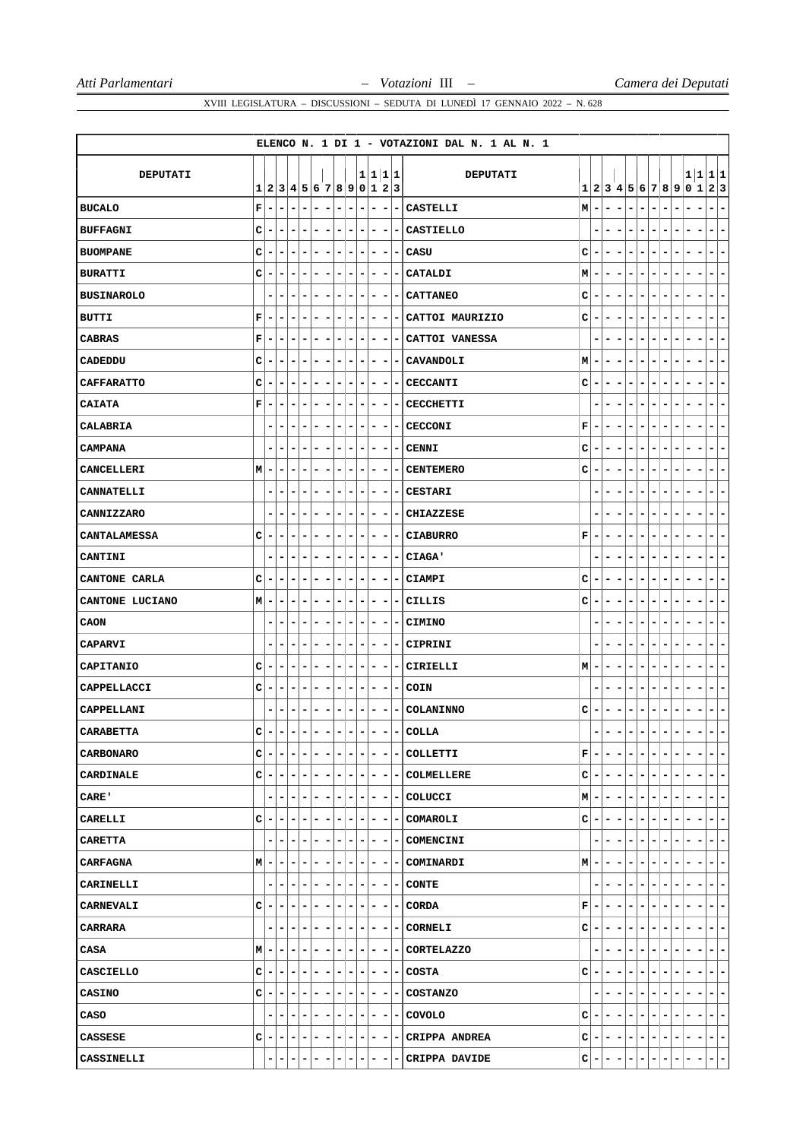|                     |             |   |                       |   |                          |   |                          |                          |   |   |                              |                          |                |                          | ELENCO N. 1 DI 1 - VOTAZIONI DAL N. 1 AL N. 1 |   |                          |   |                |   |                               |         |    |                |   |                                   |
|---------------------|-------------|---|-----------------------|---|--------------------------|---|--------------------------|--------------------------|---|---|------------------------------|--------------------------|----------------|--------------------------|-----------------------------------------------|---|--------------------------|---|----------------|---|-------------------------------|---------|----|----------------|---|-----------------------------------|
| <b>DEPUTATI</b>     |             |   |                       |   |                          |   |                          |                          |   |   | 1 1 1 1                      |                          |                |                          | <b>DEPUTATI</b>                               |   |                          |   |                |   |                               |         |    |                |   | 1 1 1 1                           |
|                     | 1           | 2 | 3 4 5 6 7 8 9 0 1 2 3 |   |                          |   |                          |                          |   |   |                              |                          |                |                          |                                               |   |                          |   |                |   | 1 2 3 4 5 6 7 8 9             |         |    | 0 1            |   | 2 3                               |
| <b>BUCALO</b>       | $\mathbf F$ |   | ۰                     |   | $\overline{a}$           | - | -                        | -                        | ۳ | - | Ē,                           | -                        |                |                          | CASTELLI                                      | M | -                        |   | -              | - | $\blacksquare$                | -       |    | $\overline{a}$ | - | $\overline{\phantom{a}}$<br>-     |
| <b>BUFFAGNI</b>     | C           |   |                       |   |                          | - |                          |                          |   |   | -                            | -                        |                |                          | <b>CASTIELLO</b>                              |   |                          |   |                |   |                               |         |    |                |   | $\qquad \qquad \blacksquare$<br>- |
| <b>BUOMPANE</b>     | C           |   | ۰                     | ۰ | -                        | - | -                        | $\overline{\phantom{0}}$ | - | - | $\overline{\phantom{a}}$     | -                        |                | -                        | CASU                                          | c | ۰                        | - | $\blacksquare$ | - | -<br>۰                        | -       |    | ۰              |   | -<br>۰                            |
| <b>BURATTI</b>      | C           |   | -                     |   | -                        | - | -                        | -                        | - | - | ۰                            | -                        |                |                          | CATALDI                                       | M | ٠                        |   |                | ۰ |                               | -       |    |                |   | -<br>-                            |
| <b>BUSINAROLO</b>   |             | - | ۰                     | - | -                        | ۰ | ۰                        | -                        | - | - | ۰                            | -                        |                | ۰                        | <b>CATTANEO</b>                               | c | -                        | ۰ | -              | - | ۰<br>٠                        | -       |    | ٠              | - | ۰<br>-                            |
| <b>BUTTI</b>        | $\mathbf F$ |   | ۰                     |   | -                        | - | -                        |                          | - | - | -                            | -                        |                | -                        | CATTOI MAURIZIO                               | с | ۰                        |   |                |   |                               |         |    |                |   | -<br>-                            |
| <b>CABRAS</b>       | $\mathbf F$ |   | -                     | - | -                        | - | -                        | -                        | - | - | ۰                            | -                        |                |                          | CATTOI VANESSA                                |   |                          |   |                |   | ٠                             | -       |    |                |   | -<br>-                            |
| CADEDDU             | c           | - | ۰                     | - | ۰                        | ۰ | ۰                        | -                        | ۰ | ۰ | ۰                            | -                        |                | -                        | CAVANDOLI                                     | M | ۰                        | - | -              | ۰ | -<br>-                        | -       |    |                |   | -<br>-                            |
| <b>CAFFARATTO</b>   | C           |   | ۰                     | - | -                        | - | -                        | -                        | ۳ | - | ۰                            | -                        |                |                          | <b>CECCANTI</b>                               | c | ٠                        | - | -              |   | ۰                             | -       |    | ۰              |   | -<br>-                            |
| <b>CAIATA</b>       | $\mathbf F$ |   | -                     | - | -                        | - | -                        | -                        | ۳ | - | ۰                            | -                        |                |                          | <b>CECCHETTI</b>                              |   |                          |   |                | - | $\overline{a}$<br>-           | -       |    |                |   | -<br>-                            |
| CALABRIA            |             | - | ۰                     | - | -                        | - | ۰                        | -                        | - | - | ۰                            | -                        |                | -                        | <b>CECCONI</b>                                | F | ۰                        | - |                | - | -<br>۰                        |         |    |                |   | -<br>-                            |
| <b>CAMPANA</b>      |             |   | $\overline{a}$        | - | -                        | - | -                        | -                        | ۳ | - | ۰                            | -                        |                |                          | <b>CENNI</b>                                  | с | -                        | - |                |   | ۰                             |         |    |                |   | -<br>-                            |
| CANCELLERI          | M           |   | -                     | - | -                        | - | ۰                        | -                        | - | - | ۰                            | -                        |                | -                        | <b>CENTEMERO</b>                              | c | -                        | - | -              | - | -<br>$\overline{a}$           | -       |    | ۰              | - | -<br>۰                            |
| CANNATELLI          |             | - | -                     | - | -                        | - | -                        | -                        | - | - | -                            | -                        |                |                          | <b>CESTARI</b>                                |   |                          | - |                |   | ۰                             |         |    |                |   | -<br>-                            |
| CANNIZZARO          |             |   | ٠                     |   |                          | - | -                        |                          |   |   | ۰                            |                          |                |                          | CHIAZZESE                                     |   |                          |   |                |   |                               |         |    |                |   | -<br>-                            |
| <b>CANTALAMESSA</b> | C           | ۰ | ۰                     | - | ۰                        | - | ۰                        | -                        | ۰ | ۰ | ۰                            | -                        |                | -                        | <b>CIABURRO</b>                               | F | ۰                        | - | -              | - | -<br>-                        | -       |    | ۰              | - | -<br>۰                            |
| CANTINI             |             | - | ۰                     | - | -                        | - | -                        | -                        | - | - | ۰                            | -                        |                |                          | CIAGA'                                        |   |                          | - | -              | - | $\overline{a}$<br>-           | -       |    | ٠              | - | -<br>-                            |
| CANTONE CARLA       | C           |   | -                     |   | -                        | - | -                        | -                        | ۰ | ۰ | -                            | -                        |                |                          | <b>CIAMPI</b>                                 | c | -                        |   |                |   | ۰                             |         |    |                |   | -<br>-                            |
| CANTONE LUCIANO     | М           |   | ۰                     | - | ۰                        | - | ۰                        | -                        | - | ۰ | ۰                            | -                        |                | -                        | CILLIS                                        | c | ۰                        | - | -              | - | -<br>۰                        | -       |    | ۰              |   | -<br>۰                            |
| CAON                |             |   | -                     |   | -                        | - | -                        | -                        | - | - | ۰                            | -                        |                |                          | <b>CIMINO</b>                                 |   | ۰                        | - |                | - |                               | -       |    |                |   | -<br>-                            |
| CAPARVI             |             | - | ۰                     | - | -                        | ۰ | ۰                        | -                        | - | - | ۰                            | -                        |                | -                        | CIPRINI                                       |   | ٠                        | - |                |   | ٠                             | -       |    |                |   | -<br>-                            |
| CAPITANIO           | c           |   | -                     | - | -                        | - | -                        | $\overline{a}$           | ۳ | - | ۰                            | -                        |                | -                        | <b>CIRIELLI</b>                               | M | ۰                        | - | -              | - | ۰                             | -       |    |                |   | -<br>-                            |
| CAPPELLACCI         | c           |   | -                     | - | -                        | - | -                        | -                        | ۳ | - | ۰                            | -                        |                | -                        | COIN                                          |   | ۰                        | - |                | - | ۰                             | -       |    |                |   | -<br>-                            |
| CAPPELLANI          |             | - | ۰                     |   | -                        | ۰ | -                        | -                        | - | - | ۰                            | -                        |                | ۰                        | COLANINNO                                     | c | ۰                        |   |                |   | -<br>۰                        | -       |    |                |   | -<br>-                            |
| <b>CARABETTA</b>    | $\mathbf C$ | - | -                     | - | -                        | - | -                        |                          | ۳ | - | $\qquad \qquad \blacksquare$ | -                        |                | $\overline{\phantom{0}}$ | <b>COLLA</b>                                  |   | -                        | - |                |   | ۳                             |         |    |                |   | $\qquad \qquad \blacksquare$<br>- |
| <b>CARBONARO</b>    | c           |   | -                     |   | $\overline{\phantom{0}}$ | - | ۰                        | $\overline{\phantom{0}}$ | - | - | -                            | $\overline{\phantom{a}}$ |                | ۰                        | COLLETTI                                      | F | $\overline{\phantom{a}}$ |   |                | - | $\blacksquare$                |         |    |                |   | ۰                                 |
| CARDINALE           | с           | ۰ | ۰                     | ۰ | н.                       | ٠ | ۰                        | ۰                        | ۰ | ۰ | - 1                          | -                        |                |                          | - COLMELLERE                                  | c | ۰                        | - | -              | - | ۰<br>-                        |         |    | ٠              |   | ۰.<br>۰                           |
| <b>CARE'</b>        |             | - | ۰                     |   | -                        | - | ۰                        | $\overline{\phantom{a}}$ | - | ۰ | ۰                            | $\overline{\phantom{a}}$ |                | - 1                      | COLUCCI                                       | M | -                        |   |                |   |                               |         |    |                |   | - 1<br>$\overline{\phantom{a}}$   |
| CARELLI             | c           |   | ۰                     |   | ۰                        | ۰ | ۰                        | ۰                        | - | ۰ | ۰                            | $\overline{\phantom{a}}$ |                | ۰                        | COMAROLI                                      | c | ۰                        |   |                | - | -                             |         |    |                |   | ۰.<br>-                           |
| CARETTA             |             | - | ۰                     |   | -                        | ۰ | ۰                        | -                        | ۰ | ۰ | ۰                            | ٠                        |                | ۰                        | COMENCINI                                     |   | ۰                        | ۰ |                |   |                               |         |    |                |   | ۰.<br>۰                           |
| <b>CARFAGNA</b>     | M           |   |                       |   |                          | ۳ | ۰                        |                          | - | ۰ | -                            | -                        |                | ۰.                       | COMINARDI                                     | M | ٠                        |   |                |   |                               |         |    |                |   | -                                 |
| CARINELLI           |             | - | -                     | - | -                        | ۰ | ۰                        | -                        | ۰ | ۰ | ۰                            | $\overline{\phantom{a}}$ |                | -                        | CONTE                                         |   | ۰                        | - |                | - | ۰<br>۰                        | ۰       | -  | -              | - | -<br>$\blacksquare$               |
| <b>CARNEVALI</b>    | с           | ۰ | ۰                     | ۰ | ۰                        | ۰ | ۰                        | ۰                        | ۰ | ۰ | ۰                            | ۰                        |                | ۰                        | CORDA                                         | г | ۰                        | ۰ | ۰              | - | ۰                             | ۰<br>-  | -  | ۰              | - | ۰.<br>۰                           |
| <b>CARRARA</b>      |             |   | ۰                     |   |                          | - | ۰                        | -                        | - | ۰ | ۰                            | -                        |                |                          | <b>CORNELI</b>                                | c | ۰                        |   |                |   |                               |         |    |                |   | ۰.<br>-                           |
| CASA                | М           | - | ۰                     |   | -                        | ۰ | ۰                        | -                        | - | ۰ | ۰                            | ۰                        |                | $\overline{\phantom{a}}$ | <b>CORTELAZZO</b>                             |   | ۰                        | - |                | - | -<br>-                        |         | ۰. | -              |   | -<br>$\blacksquare$               |
| <b>CASCIELLO</b>    | с           | ۰ | ۰                     | - | ۰                        | ۰ | ۰                        | -                        | ۰ | ۰ | ۰                            | -                        |                | ۰                        | COSTA                                         | с | $\overline{\phantom{a}}$ |   | -              | - | -<br>-                        | -       |    | -              | - | - 1<br>-                          |
| <b>CASINO</b>       | с           | ۰ | ۰                     |   | -                        | - | -                        | -                        | - | - | ۰                            | ۰                        |                | ۰.                       | <b>COSTANZO</b>                               |   |                          |   |                |   |                               |         |    |                |   | ۰.<br>-                           |
| CASO                |             | ۰ | ۰                     | ۰ | ۰                        | ٠ | ۰                        | -                        | ۰ | ۰ | ۰                            | $\overline{\phantom{a}}$ |                | ۰.                       | COVOLO                                        | с | ۰                        | - | ۰              | - | -<br>$\overline{\phantom{0}}$ | -       | ۰. | -              |   | -<br>$\blacksquare$               |
| CASSESE             | с           | - | ۰                     | ۰ | н.                       | ۰ | $\overline{\phantom{a}}$ | ۰                        | ۰ | ۰ | $\blacksquare$               |                          | $\blacksquare$ |                          | - CRIPPA ANDREA                               | с | ۰                        | ۰ | -              | ۰ | ۰                             | ۰<br>Ξ. | ۰  | ۰              | ۰ | $-1-$                             |
| CASSINELLI          |             | ۰ | -                     |   |                          | - | -                        | ۰                        | ۰ | ۰ | ٠                            | -                        |                |                          | CRIPPA DAVIDE                                 | c | Ξ                        |   | -              | ۳ | -<br>٠                        | ۳       | ٠  | Ξ              | - | $=$ $=$                           |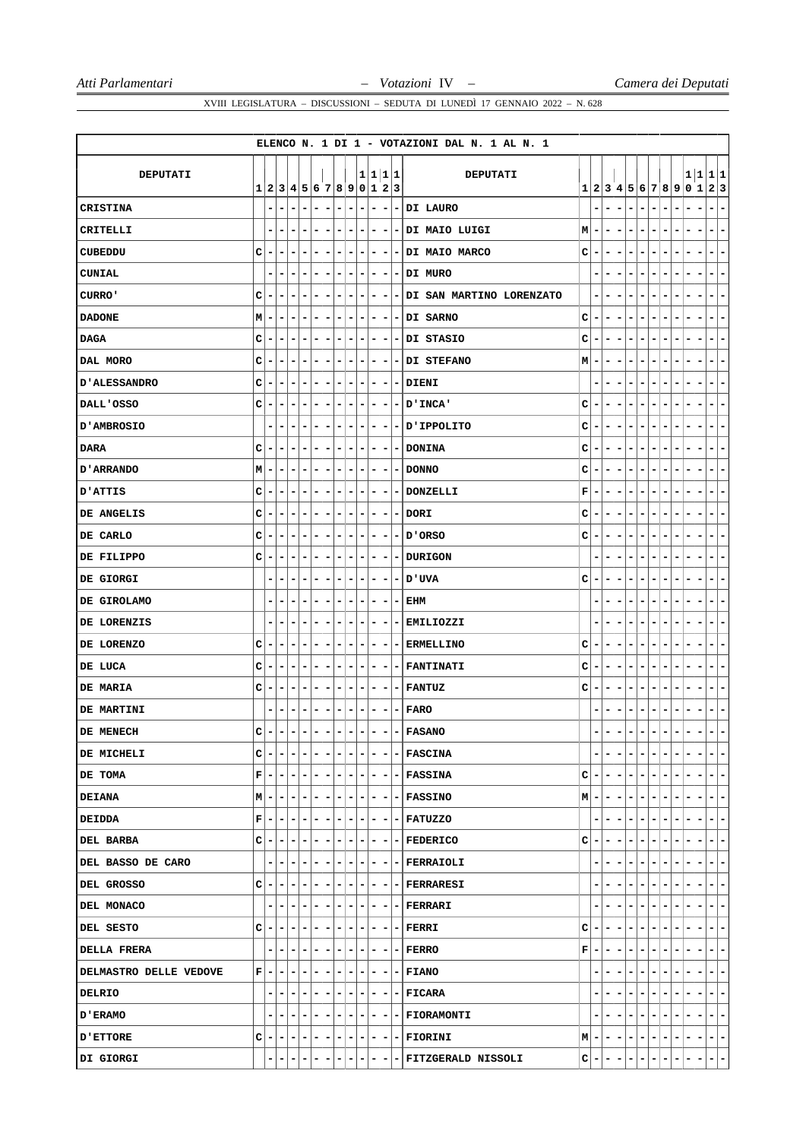|                        |             |                          |                           |                              |                                                          |                |                                                          |                          |                          |         |                              |                          |     | ELENCO N. 1 DI 1 - VOTAZIONI DAL N. 1 AL N. 1 |    |     |       |                          |                |    |                          |                          |                                 |                       |                                            |
|------------------------|-------------|--------------------------|---------------------------|------------------------------|----------------------------------------------------------|----------------|----------------------------------------------------------|--------------------------|--------------------------|---------|------------------------------|--------------------------|-----|-----------------------------------------------|----|-----|-------|--------------------------|----------------|----|--------------------------|--------------------------|---------------------------------|-----------------------|--------------------------------------------|
| DEPUTATI               |             |                          |                           |                              |                                                          |                |                                                          |                          |                          | 1 1 1 1 |                              |                          |     | DEPUTATI                                      |    |     |       |                          |                |    |                          |                          |                                 |                       | 1 1 1 1                                    |
|                        |             |                          | 1 2 3 4 5 6 7 8 9 0 1 2 3 |                              |                                                          |                |                                                          |                          |                          |         |                              |                          |     |                                               |    |     |       |                          |                |    |                          |                          |                                 | 1 2 3 4 5 6 7 8 9 0 1 | 2 3                                        |
| <b>CRISTINA</b>        |             |                          | -                         |                              | $\overline{a}$<br>-                                      |                | $\overline{\phantom{a}}$<br>-                            | -                        | -                        |         | $\overline{\phantom{a}}$     | -                        |     | - DI LAURO                                    |    |     |       | -                        | -              |    |                          | -                        | ۰                               |                       | $\overline{\phantom{a}}$<br>-              |
| CRITELLI               |             |                          |                           |                              | -                                                        |                |                                                          | -                        |                          | ۰       | ۰                            | ۰                        |     | - DI MAIO LUIGI                               | мI | ۰   |       |                          |                |    |                          |                          |                                 |                       | $\qquad \qquad \blacksquare$<br>-          |
| CUBEDDU                | c           | -                        | ۰                         | ۰                            | -<br>-                                                   |                | ۰<br>$\overline{\phantom{a}}$                            | -                        | ۰                        |         | -                            | $\overline{\phantom{a}}$ |     | - DI MAIO MARCO                               | c  | ۰   | ۰     | $\overline{\phantom{0}}$ | -              | -  | $\overline{a}$           | -                        |                                 |                       | -<br>-                                     |
| <b>CUNIAL</b>          |             |                          | ۰                         |                              | -<br>-                                                   |                | ۰<br>۰                                                   | ۰                        | ۰                        |         | ۰                            | -                        | ۰.  | DI MURO                                       |    |     |       |                          |                |    |                          | -                        |                                 |                       | -<br>-                                     |
| CURRO'                 | c           | -                        | ۰                         | -                            | -<br>۳                                                   |                | -<br>۰                                                   | ۰                        | ۰                        |         | ۰                            | ۰                        | -   | DI SAN MARTINO LORENZATO                      |    | ٠   | ۰     |                          |                | -  | -                        |                          |                                 |                       | -<br>-                                     |
| <b>DADONE</b>          | М           |                          | ۰                         |                              | ۰<br>-                                                   |                | ۰<br>-                                                   | -                        | ۰                        |         | ۰                            | -                        | ٠   | <b>DI SARNO</b>                               | с  | ۰   | -     |                          |                |    |                          |                          |                                 |                       | -<br>۰                                     |
| <b>DAGA</b>            | c           |                          | -                         | -                            | -<br>-                                                   |                | -<br>۰                                                   | -                        | -                        |         | -                            | -                        | -   | DI STASIO                                     | c  | -   |       |                          |                |    | ٠                        | -                        | ۰                               |                       | ۳                                          |
| DAL MORO               | c           | -                        | ۰                         | ۰                            | -<br>۳                                                   |                | ۰<br>-                                                   | -                        | ۰                        |         | ۰                            | ۰                        | - 1 | <b>DI STEFANO</b>                             | M  | ۰   | -     | -                        | -              | ۰  | -                        | -                        |                                 |                       | -<br>-                                     |
| <b>D'ALESSANDRO</b>    | c           |                          | -                         | -                            | -<br>-                                                   |                | -<br>-                                                   | -                        | ۰                        |         | ۰                            | -                        | -   | <b>DIENI</b>                                  |    |     | -     |                          |                |    | $\overline{a}$           | -                        | -                               |                       | -<br>-                                     |
| DALL'OSSO              | C           |                          | -                         | -                            | -<br>-                                                   |                | -<br>-                                                   | -                        |                          | -       | ۰                            | $\overline{\phantom{a}}$ | ۰.  | <b>D'INCA'</b>                                | c  | -   |       |                          | -              |    | $\overline{a}$           | -                        |                                 |                       | -                                          |
| <b>D'AMBROSIO</b>      |             | -                        | ۰                         | -                            | -<br>-                                                   |                | ۰<br>-                                                   | -                        | ۰                        |         | ۰                            | ۰                        |     | - D'IPPOLITO                                  | с  | ۰   | -     | -                        | ۰              | -  | ۰                        |                          |                                 |                       | -<br>۰                                     |
| DARA                   | c           |                          | ۰                         | -                            | -<br>-                                                   |                | -<br>-                                                   | -                        | -                        |         | -                            | -                        | -   | <b>DONINA</b>                                 | c  | -   |       |                          |                |    | ۰                        |                          |                                 |                       | -<br>-                                     |
| <b>D'ARRANDO</b>       | М           |                          | -                         | -                            | -<br>-                                                   |                | -<br>-                                                   | -                        | -                        |         | -                            | -                        | ۰   | <b>DONNO</b>                                  | c  | -   | -     | -                        | -              | -  | $\overline{a}$           | -                        | ۰                               |                       | -<br>۰                                     |
| <b>D'ATTIS</b>         | с           | -                        | ۰                         | -                            | ۰<br>-                                                   |                | ۰<br>-                                                   | -                        | ۰                        |         | ۰                            | ۰                        | ۰   | DONZELLI                                      | F  | ۰   |       | $\overline{a}$           | -              |    | $\overline{a}$           |                          |                                 |                       | -<br>-                                     |
| DE ANGELIS             | c           |                          | -                         |                              | -                                                        |                | -                                                        | -                        |                          |         | ۰                            | -                        |     | <b>DORI</b>                                   | c  | -   |       |                          |                |    |                          |                          |                                 |                       |                                            |
| DE CARLO               | C           | ۰                        | ۰                         | -                            | -<br>-                                                   |                | ۰<br>-                                                   | -                        | ۰                        |         | -                            | -                        | -   | ORSO 'U                                       | с  | -   | -     | -                        | ۰              | -  | -                        | -                        | ۰                               |                       | ۰<br>-                                     |
| DE FILIPPO             | с           |                          | ۰                         | -                            | ۰<br>-                                                   |                | ۰<br>-                                                   | -                        |                          | ۰       | -                            | -                        | -   | <b>DURIGON</b>                                |    |     | -     | -                        | ۰              |    | -                        | -                        | ٠                               |                       | -<br>-                                     |
| DE GIORGI              |             |                          | ۰                         |                              | ۰                                                        |                | -<br>۰                                                   | ۰                        | ۰                        |         | ۰                            | -                        | -   | <b>D'UVA</b>                                  | c  | ٠   |       |                          |                |    | ٠                        |                          |                                 |                       | ۰<br>-                                     |
| DE GIROLAMO            |             | ۰                        | ۰                         | -                            | ۰<br>-                                                   |                | ۰<br>-                                                   | -                        | ۰                        |         | -                            | -                        | ۰   | EHM                                           |    |     | -     |                          |                | -  | ۰                        | -                        |                                 |                       | ۰<br>۰                                     |
| DE LORENZIS            |             |                          | -                         | -                            | -<br>۰                                                   |                | ۰<br>-                                                   | ۰                        | -                        |         | ۰                            | ۰                        | -   | EMILIOZZI                                     |    |     |       |                          | -              |    |                          | -                        |                                 |                       | -                                          |
| DE LORENZO             | с           | -                        | ۰                         | -                            | -<br>۰                                                   |                | ۰<br>-                                                   | -                        | ۰                        |         | -                            | -                        | -   | <b>ERMELLINO</b>                              | c  | -   |       |                          |                |    | -                        |                          |                                 |                       | -<br>-                                     |
| DE LUCA                | с           |                          | -                         |                              | -<br>-                                                   |                | ۰<br>-                                                   | -                        | ۰                        |         | -                            | -                        | Ξ.  | <b>FANTINATI</b>                              | с  | ۰   |       |                          |                |    | $\overline{a}$           |                          |                                 |                       | -<br>-                                     |
| DE MARIA               | c           |                          | -                         | -                            | -<br>-                                                   |                | ۰<br>-                                                   | -                        | -                        |         | ۰                            | -                        | ۰   | <b>FANTUZ</b>                                 | c  | -   | -     |                          | -              |    |                          | -                        |                                 |                       |                                            |
| DE MARTINI             |             | -                        | ۰                         |                              | -<br>۰                                                   |                | -<br>-                                                   | -                        | -                        |         | ۰                            | -                        | ۰   | <b>FARO</b>                                   |    |     |       |                          |                |    |                          |                          |                                 |                       | -<br>-                                     |
| DE MENECH              | $\mathbf C$ | -                        | -                         | $\qquad \qquad \blacksquare$ | $\overline{\phantom{a}}$<br>$\qquad \qquad \blacksquare$ |                | $\overline{\phantom{a}}$<br>$\qquad \qquad \blacksquare$ | -                        | -                        |         | $\qquad \qquad \blacksquare$ | -                        |     | $-$ FASANO                                    |    | ۰   | -     |                          |                | -  |                          |                          | -                               |                       | $\overline{\phantom{a}}$<br>-              |
| DE MICHELI             | c           | -                        | -                         |                              | $\overline{\phantom{a}}$                                 | - 1            | $\overline{\phantom{a}}$<br>$\overline{\phantom{a}}$     | $\sim$                   | Ξ.                       |         | $-1$                         | $\blacksquare$           |     | - FASCINA                                     |    |     |       |                          | -              |    | $\overline{\phantom{a}}$ | $\overline{\phantom{0}}$ |                                 |                       | -                                          |
| DE TOMA                | F           | $\overline{\phantom{a}}$ | $\blacksquare$            | $\overline{\phantom{a}}$     | $\overline{\phantom{0}}$                                 | $-1-$          | $-1$                                                     | $\blacksquare$           | $ - $                    |         |                              |                          |     | $- - $ $- $ FASSINA                           | c  |     | $-1-$ | $\overline{\phantom{a}}$ | ۰              | ۰  | -                        |                          | Ξ.<br>۰                         |                       | $\blacksquare$<br>$\overline{\phantom{a}}$ |
| <b>DEIANA</b>          | M -         |                          | $\blacksquare$            | $\overline{\phantom{a}}$     | $\overline{\phantom{a}}$                                 | ۰              | $\blacksquare$                                           | $-1-1$                   | $\blacksquare$           |         | $-1$                         | E.                       |     | - FASSINO                                     | M  | ۰   | ۰     | $\overline{\phantom{a}}$ |                | ۰  | -                        | -                        | ۰                               |                       | $- -$                                      |
| <b>DEIDDA</b>          | F           | -                        | E.                        | ۰                            | $\overline{\phantom{a}}$                                 | $-1-$          | $\blacksquare$                                           | $\overline{\phantom{a}}$ | $\overline{ }$           |         |                              |                          |     | $- - $ FATUZZO                                |    | ۰   |       | -                        | ۰              | ۰  | -                        | ۰                        | -<br>-                          | -                     | $\blacksquare$<br>$\overline{\phantom{a}}$ |
| DEL BARBA              | с           | -                        | ۰                         | $\overline{\phantom{a}}$     | н.                                                       | ٠              | ۰<br>$\overline{\phantom{0}}$                            | н.                       |                          | - 1     | $-1-$                        |                          |     | - FEDERICO                                    | c  | ٠   | ۰     | $\overline{\phantom{a}}$ | -              | ۰  | -                        |                          | Ξ.<br>۰                         | ۰                     | E.<br>H                                    |
| DEL BASSO DE CARO      |             |                          | ۰                         |                              |                                                          | ٠              | ٠<br>۰                                                   | ٠                        | ٠                        |         | -1-                          |                          |     | - FERRAIOLI                                   |    |     |       |                          |                |    |                          |                          |                                 |                       | -1-                                        |
| DEL GROSSO             | c           | н.                       | $-1-$                     |                              | $- - - $                                                 |                |                                                          | $-1-1-1$                 |                          |         |                              |                          |     | $- - $ FERRARESI                              |    | ٠   | -     |                          | ۰              | ۰. | -                        | $\overline{\phantom{a}}$ | ۰.<br>۰.                        | -                     | $-1-$                                      |
| DEL MONACO             |             | -                        | ÷.                        | $\overline{\phantom{a}}$     | $\overline{\phantom{0}}$<br>l – I                        | $\overline{ }$ |                                                          | $-1-$                    | $\blacksquare$           |         |                              |                          |     | $- - - $ FERRARI                              |    | -   | ۰     | $\overline{\phantom{a}}$ | ۰              | ۰  | Ξ.                       | ۰                        | Ξ.<br>۰                         | ۰                     | E.<br>$\overline{ }$                       |
| DEL SESTO              | с           | -                        | ٠                         | ۰                            | н.                                                       | ٠              | ۰<br>-                                                   | -                        | $\overline{\phantom{a}}$ |         | $-1$                         | $\overline{\phantom{a}}$ |     | $-$  FERRI                                    | c  | -   |       |                          |                |    |                          |                          |                                 |                       | $=$ $=$                                    |
| <b>DELLA FRERA</b>     |             | -                        | ÷.                        | $\overline{\phantom{a}}$     | $\overline{\phantom{0}}$                                 | $-1-$          |                                                          | $- - - $                 |                          |         |                              |                          |     | $- - - $ FERRO                                | F  | - 1 | -     | $\overline{\phantom{a}}$ | ۰              | ۰  |                          | -                        | -<br>-                          | -                     | $-1-$                                      |
| DELMASTRO DELLE VEDOVE | F           | ۰                        | ۰                         | ۰                            | ٠                                                        | ۰              | ۰<br>$\overline{a}$                                      | $\overline{\phantom{a}}$ | ۰                        |         | $-1-$                        |                          |     | - FIANO                                       |    |     | -     | Ξ.                       | -              | ۰  | Ξ.                       | -                        | ۰<br>۰                          | ۰                     | $=$ $=$                                    |
| DELRIO                 |             |                          | ۰                         | ۰                            | $\overline{\phantom{a}}$                                 | ۰.             | ۰<br>$\overline{\phantom{a}}$                            | ۰                        | ٠                        |         | -1-                          |                          |     | - FICARA                                      |    |     |       |                          |                |    | -                        |                          |                                 |                       | $- -$                                      |
| <b>D'ERAMO</b>         |             | ۰                        | $-1$                      | $\overline{ }$               | $-1-1-1$                                                 |                |                                                          |                          |                          |         |                              |                          |     | $ - - - - $ FIORAMONTI                        |    | ۰   | ۰     |                          | ۰              | ۰  | Ξ.                       | ۰                        | ۰.<br>$\overline{\phantom{0}}$  |                       | $=$ $=$                                    |
| <b>D'ETTORE</b>        | c           | -                        | $\overline{\phantom{0}}$  | ٠                            | $- - - $                                                 |                |                                                          | $- - - $                 |                          |         |                              |                          |     | $- - FIORINI$                                 | M  | - 1 | ۰.    | $\blacksquare$           | $\blacksquare$ | ۰  | $\overline{a}$           | $\blacksquare$           | - 1<br>$\overline{\phantom{a}}$ | -                     | $-1-$                                      |
| DI GIORGI              |             |                          | Ξ.                        |                              | Ξ.                                                       |                |                                                          |                          |                          |         |                              |                          |     | <b>FITZGERALD NISSOLI</b>                     | с  | ٠   | т.    | $\overline{\phantom{a}}$ |                | -  | ۰.                       | -                        | -<br>т.                         |                       | $ -$                                       |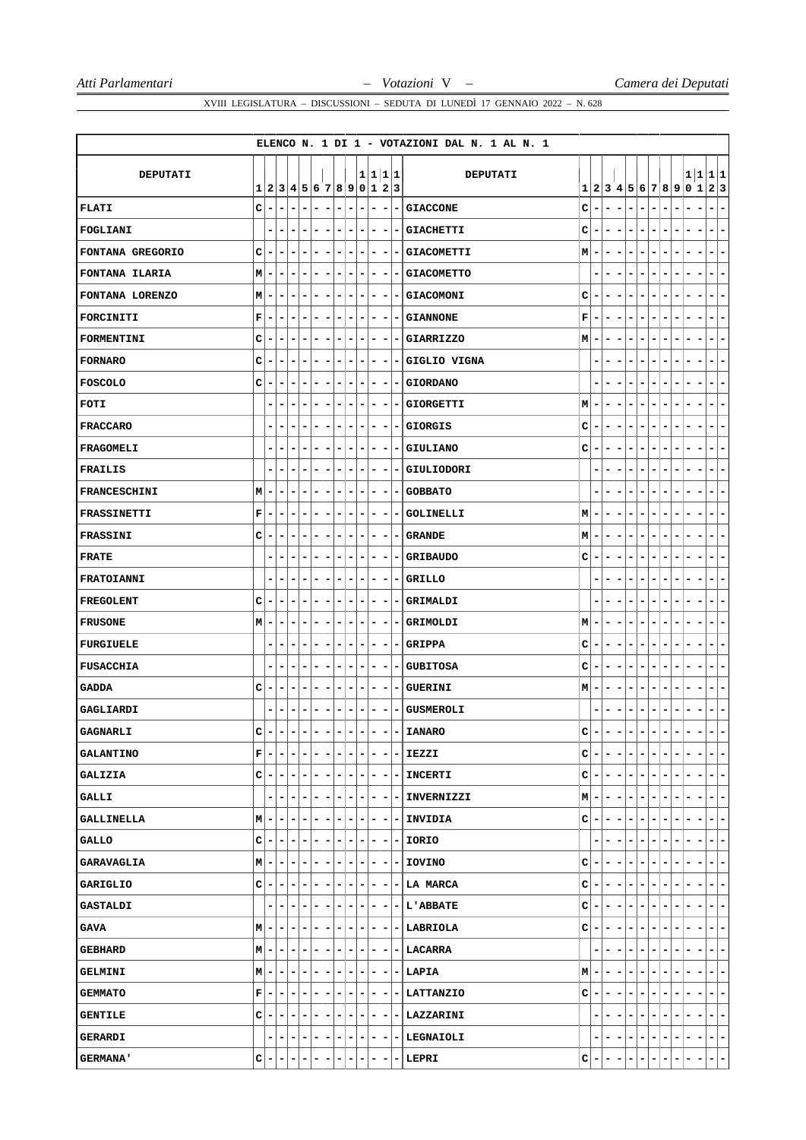|                     |             |                          |                           |                          |                          |                          |   |                              |   |   |                              |                          |                          |                | ELENCO N. 1 DI 1 - VOTAZIONI DAL N. 1 AL N. 1 |   |                              |   |                              |   |        |                                   |   |                |   |                                      |
|---------------------|-------------|--------------------------|---------------------------|--------------------------|--------------------------|--------------------------|---|------------------------------|---|---|------------------------------|--------------------------|--------------------------|----------------|-----------------------------------------------|---|------------------------------|---|------------------------------|---|--------|-----------------------------------|---|----------------|---|--------------------------------------|
|                     |             |                          |                           |                          |                          |                          |   |                              |   |   |                              |                          |                          |                |                                               |   |                              |   |                              |   |        |                                   |   |                |   |                                      |
| DEPUTATI            |             |                          | 1 2 3 4 5 6 7 8 9 0 1 2 3 |                          |                          |                          |   |                              |   |   | 1 1 1 1                      |                          |                          |                | <b>DEPUTATI</b>                               |   |                              |   |                              |   |        |                                   |   |                |   | 1 1 1 1<br>1 2 3 4 5 6 7 8 9 0 1 2 3 |
| <b>FLATI</b>        | c           | -                        | -                         | $\overline{\phantom{0}}$ | -                        | ٠                        | - | $\overline{\phantom{a}}$     | - | - | $\qquad \qquad \blacksquare$ | -                        |                          | ۰              | <b>GIACCONE</b>                               | c | $\qquad \qquad \blacksquare$ | - | $\blacksquare$               | - | -      | $\blacksquare$<br>-               | - | ۰              | - | $\qquad \qquad \blacksquare$<br>-    |
| FOGLIANI            |             |                          | -                         |                          | $\overline{a}$           | -                        | ۰ | -                            | ۳ | - | -                            | -                        |                          | -              | <b>GIACHETTI</b>                              | c | ۰                            |   |                              |   |        |                                   |   |                |   | $\overline{\phantom{0}}$<br>-        |
| FONTANA GREGORIO    | C           | -                        | -                         | -                        | -                        | $\overline{a}$           | ۰ | $\qquad \qquad \blacksquare$ | - | - | -                            | -                        | $\overline{\phantom{a}}$ |                | <b>GIACOMETTI</b>                             | M | ۰                            | - | $\qquad \qquad \blacksquare$ | - | ۰      | -<br>$\overline{\phantom{a}}$     | - | ۰              | - | $\qquad \qquad \blacksquare$<br>۰    |
| FONTANA ILARIA      | М           | -                        | -                         | -                        | ۰                        | -                        | - | -                            | ۰ | ۰ | -                            | $\overline{\phantom{a}}$ |                          | -              | <b>GIACOMETTO</b>                             |   |                              | - |                              |   |        |                                   |   |                |   | -<br>-                               |
| FONTANA LORENZO     | М           |                          | ۰                         |                          |                          | -                        | - | -                            |   |   | ۰                            | -                        |                          |                | <b>GIACOMONI</b>                              | c | ۰                            |   |                              |   |        |                                   |   |                |   | -<br>-                               |
| FORCINITI           | $\mathbf F$ | ۰                        | -                         | ۰                        | ۰                        | ٠                        | ۰ | ۰                            | ۰ | ۰ | ۰                            | -                        |                          | -              | <b>GIANNONE</b>                               | F | ۰                            | - | -                            | ۰ | ۰      | -<br>-                            |   |                |   | ۰<br>۰                               |
| FORMENTINI          | C           | -                        | -                         | -                        | -                        | -                        | ۰ | -                            | ۰ | - | ۰                            | -                        | -                        |                | <b>GIARRIZZO</b>                              | М | ٠                            | - | -                            | - | -      | -<br>$\overline{a}$               |   | -              | - | -<br>۰                               |
| <b>FORNARO</b>      | C           |                          | ۰                         | -                        | -                        | -                        | - | -                            | - | - | -                            | -                        | -                        |                | GIGLIO VIGNA                                  |   | ۰                            | - |                              |   |        | -                                 |   |                |   | ۰<br>-                               |
| <b>FOSCOLO</b>      | C           |                          | ۰                         | -                        | ۰                        | -                        | ۰ | -                            | - | ۰ | -                            | -                        |                          | -              | <b>GIORDANO</b>                               |   |                              | ۰ |                              | - | -<br>۰ | -                                 |   | ۰              |   | ۰<br>۰                               |
| FOTI                |             |                          | -                         |                          | -                        | -                        | ۰ | -                            | - | - | ۰                            | -                        | -                        |                | <b>GIORGETTI</b>                              | M | -                            |   |                              | - |        | -<br>۰                            |   |                |   | -<br>-                               |
| <b>FRACCARO</b>     |             | -                        | ۰                         | -                        | -                        | ۰                        | - | -                            | ۰ | - | -                            | -                        | -                        |                | <b>GIORGIS</b>                                | c | ۰                            | - | -                            | - | -      | $\overline{a}$<br>-               |   |                |   | ۰<br>-                               |
| FRAGOMELI           |             | -                        | -                         |                          | -                        | -                        | - | -                            | - | - | -                            | -                        |                          | -              | <b>GIULIANO</b>                               | с | ٠                            |   |                              |   |        |                                   |   |                |   | -<br>-                               |
| FRAILIS             |             |                          | -                         | -                        | -                        | -                        | - | -                            | - | - | ۰                            | -                        |                          |                | <b>GIULIODORI</b>                             |   | ٠                            |   |                              | - | ۰      | -                                 |   |                |   | -<br>-                               |
| <b>FRANCESCHINI</b> | М           | ۰                        | ۰                         | -                        | ۰                        | -                        | ۰ | -                            | ۰ | ۰ | -                            | -                        |                          | -              | <b>GOBBATO</b>                                |   |                              | - | -                            |   | -      | -                                 |   |                |   | -<br>-                               |
| FRASSINETTI         | $\mathbf F$ |                          | ۰                         | -                        | -                        | -                        | - | -                            | ۳ | - | -                            | -                        |                          | -              | <b>GOLINELLI</b>                              | M | ٠                            | - | -                            |   |        | $\qquad \qquad \blacksquare$<br>- |   | ۰              |   | -<br>-                               |
| FRASSINI            | C           |                          | -                         | -                        | $\overline{\phantom{a}}$ | -                        | - | $\overline{\phantom{a}}$     | - | - | -                            | -                        |                          |                | <b>GRANDE</b>                                 | M | ۰                            |   |                              | ۳ | -      | $\overline{a}$<br>-               |   |                |   | $\qquad \qquad \blacksquare$<br>-    |
| <b>FRATE</b>        |             | -                        | ۰                         | -                        | -                        | -                        | ۰ | -                            | - | - | ۰                            | -                        |                          | -              | <b>GRIBAUDO</b>                               | c | ۰                            | - |                              |   | -<br>۰ |                                   |   |                |   | ۰<br>-                               |
| FRATOIANNI          |             |                          | ۰                         |                          |                          | -                        | - |                              | - |   | ۰                            | -                        |                          |                | <b>GRILLO</b>                                 |   |                              |   |                              |   |        |                                   |   |                |   | -<br>-                               |
| <b>FREGOLENT</b>    | C           | ۰                        | -                         | -                        | ۰                        | -                        | ۰ | ۰                            | - | ۰ | -                            | -                        | ۰                        |                | GRIMALDI                                      |   | ۰                            | - | -                            | ۰ | ۰      | -<br>-                            | - | -              | - | ۰<br>-                               |
| <b>FRUSONE</b>      | M           | -                        | ۰                         | -                        | ۰                        | -                        | - | -                            | - | - | -                            | -                        | -                        |                | GRIMOLDI                                      | М | ۰                            | - | -                            | - | -      | $\overline{a}$<br>-               |   |                | - | ۰<br>-                               |
| <b>FURGIUELE</b>    |             |                          | -                         |                          |                          | -                        | - |                              | ۰ |   | ۰                            |                          |                          |                | <b>GRIPPA</b>                                 | c | ۰                            |   |                              |   |        |                                   |   |                |   | -<br>-                               |
| <b>FUSACCHIA</b>    |             | ۰                        | -                         | -                        | ۰                        | -                        | ۰ | -                            | - | ۰ | -                            | -                        |                          | ۰              | <b>GUBITOSA</b>                               | с | -                            | - | -                            | - | ۰<br>- | -                                 |   | ۰              |   | ۰<br>۰                               |
| <b>GADDA</b>        | c           | ۰                        | -                         | -                        | ۰                        | -                        | - | -                            | - | - | -                            | -                        |                          | -              | <b>GUERINI</b>                                | М | ۰                            | - | -                            | - | -      | $\overline{a}$<br>-               |   |                | - | -<br>-                               |
| GAGLIARDI           |             |                          | ٠                         |                          |                          |                          |   |                              |   |   |                              |                          |                          |                | <b>GUSMEROLI</b>                              |   |                              |   |                              |   |        |                                   |   |                |   | -<br>-                               |
| <b>GAGNARLI</b>     | C           | $\overline{\phantom{0}}$ | -                         | -                        | ۰                        | $\overline{\phantom{0}}$ | ۰ | $\equiv$                     | - | - | $\blacksquare$               | -                        |                          | $\blacksquare$ | <b>IANARO</b>                                 | c | $\overline{\phantom{0}}$     | ۰ | $\overline{\phantom{a}}$     | - | -      | -<br>$\overline{\phantom{a}}$     | - | $\blacksquare$ | - | $\overline{\phantom{a}}$<br>۰        |
| <b>GALANTINO</b>    | F           |                          | ۰                         |                          | -                        | -                        | - | -                            | - | - |                              | -                        |                          | -              | IEZZI                                         | с | -                            |   |                              | ۳ |        | $\blacksquare$<br>-               |   |                |   | $\qquad \qquad \blacksquare$<br>-    |
| <b>GALIZIA</b>      | c           | -                        | -                         |                          |                          | -                        |   | -                            | - | ۰ | ۰                            | -                        |                          | -              | <b>INCERTI</b>                                | c | -                            |   |                              |   |        |                                   |   |                |   | $\overline{\phantom{a}}$<br>-        |
| <b>GALLI</b>        |             | -                        | -                         | ۰                        | -                        | -                        | - | $\overline{\phantom{0}}$     | - | - | -                            | $\overline{\phantom{a}}$ |                          | -              | <b>INVERNIZZI</b>                             | М | ۰                            | ۰ |                              | - | Ξ.     |                                   |   |                |   | -<br>۰.                              |
| <b>GALLINELLA</b>   | М           |                          | -                         |                          | -                        | -                        | ۰ | -                            | - | ۰ | ۰                            | -                        |                          | ۰              | INVIDIA                                       | с | $\overline{\phantom{a}}$     |   |                              | - |        | -                                 |   |                |   | -<br>۰                               |
| <b>GALLO</b>        | c           | ۰                        | ۰                         |                          | -                        | -                        | ۰ | -                            | ۰ | ۰ | ۰                            | -                        |                          | ۰.             | IORIO                                         |   | ۰                            | - |                              |   |        | -                                 |   |                |   | -<br>۰                               |
| <b>GARAVAGLIA</b>   | M           |                          |                           |                          | -                        | -                        | ۰ |                              | - | ۰ | ۰                            | -                        |                          | ۰              | <b>IOVINO</b>                                 | с | ۰                            |   |                              |   |        |                                   |   |                |   | -<br>۰                               |
| GARIGLIO            | c           |                          | ۰                         |                          | ۰                        | -                        | ۰ | ۰                            | - | - | -                            | -                        |                          | -              | <b>LA MARCA</b>                               | c | -                            |   |                              | - |        |                                   |   |                |   | ۰                                    |
| <b>GASTALDI</b>     |             | -                        | ۰                         |                          | -                        | ۳                        | ۰ | -                            | - | ۰ | ۰                            | ۰                        |                          | Ξ.             | <b>L'ABBATE</b>                               | с | ۰                            | - | -                            |   | ۰      |                                   |   |                |   | ۰.<br>۰                              |
| GAVA                | M           |                          | -                         |                          | -                        | -                        | - | -                            | - | ۰ | -                            | -                        |                          | -              | LABRIOLA                                      | с | -                            |   |                              |   |        | -                                 |   |                |   | ۰<br>۰                               |
| <b>GEBHARD</b>      | М           | -                        | ۰                         | -                        | ۰                        | -                        | ۰ | -                            | - | ۰ | -                            | -                        |                          | ۰              | LACARRA                                       |   | ۰                            | - |                              | - | -      | $\overline{a}$<br>-               |   |                |   | ۰<br>۰                               |
| <b>GELMINI</b>      | Μ           | -                        | ۰                         | -                        | -                        | -                        | ۰ | -                            | - | ۰ | ۰                            | ۰                        |                          | -              | LAPIA                                         | М | ۰                            | ۰ |                              | ۰ | ۰.     | -                                 |   |                |   | ۰.<br>۰                              |
| <b>GEMMATO</b>      | F           |                          | -                         |                          | -                        | -                        | ۰ | -                            | - | - | -                            | -                        |                          | -              | LATTANZIO                                     | с | ۰                            |   |                              |   |        |                                   |   |                |   | -                                    |
| <b>GENTILE</b>      | C           | -                        | ۰                         |                          | ۰                        | -                        | ۰ | -                            | - | ۰ | ۰                            | -                        |                          | -              | LAZZARINI                                     |   | ۰                            | - |                              |   | -      | -<br>-                            |   |                |   | -<br>۰                               |
| <b>GERARDI</b>      |             | -                        | ۰                         | ۰                        | ۰                        | ۰                        | ۰ | ۰                            | - | ۰ | ۰                            | $\overline{\phantom{a}}$ |                          | ۰.             | <b>LEGNAIOLI</b>                              |   |                              | - | -                            | - | ۰      | $\overline{\phantom{a}}$<br>-     | - | -              | - | Ξ.<br>۰                              |
| <b>GERMANA'</b>     | c           |                          | -                         |                          | $\overline{\phantom{a}}$ | -                        | ۰ | -                            | - | ۰ | -                            | -                        |                          | -              | LEPRI                                         | с | ۰                            |   |                              |   |        | -                                 |   |                |   | $\overline{\phantom{a}}$<br>۳        |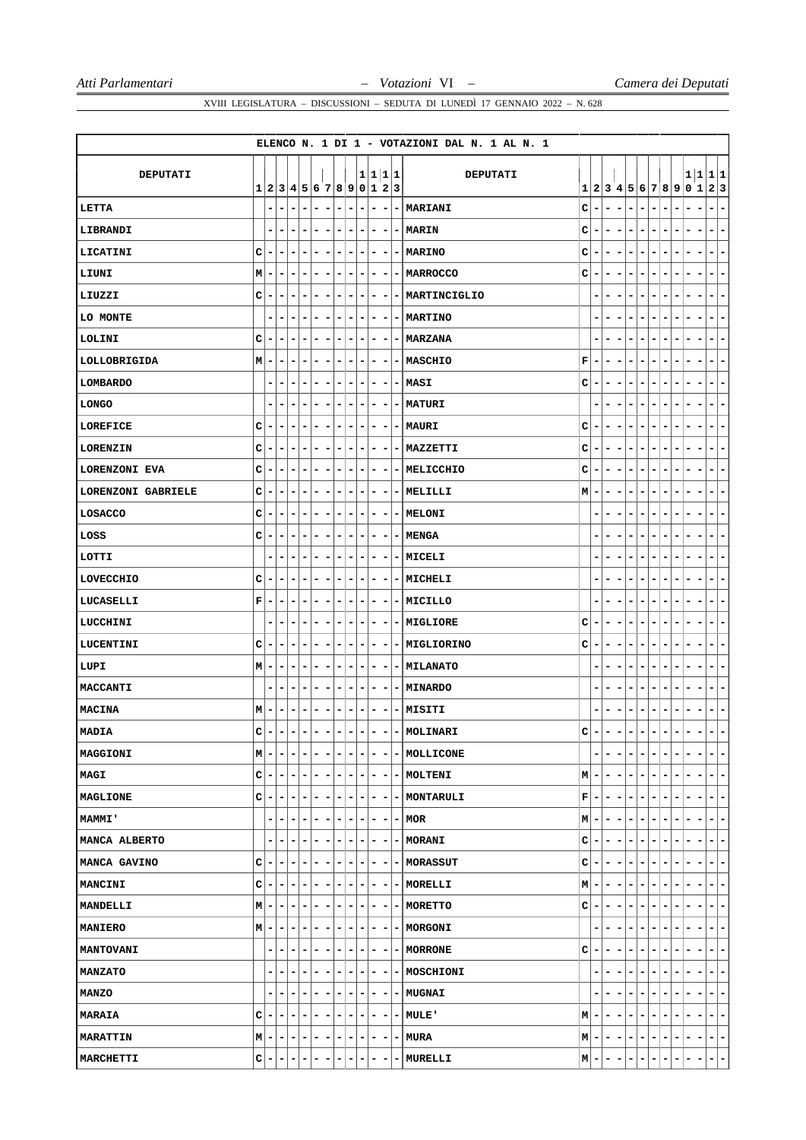|                      |   |   |                           |   |                |   |   |                          |   |   |   |                              |         | ELENCO N. 1 DI 1 - VOTAZIONI DAL N. 1 AL N. 1 |              |                          |   |                          |   |                       |                              |         |   |   |                                     |
|----------------------|---|---|---------------------------|---|----------------|---|---|--------------------------|---|---|---|------------------------------|---------|-----------------------------------------------|--------------|--------------------------|---|--------------------------|---|-----------------------|------------------------------|---------|---|---|-------------------------------------|
|                      |   |   |                           |   |                |   |   |                          |   |   |   |                              |         |                                               |              |                          |   |                          |   |                       |                              |         |   |   |                                     |
| DEPUTATI             |   |   | 1 2 3 4 5 6 7 8 9 0 1 2 3 |   |                |   |   |                          |   |   |   |                              | 1 1 1 1 | <b>DEPUTATI</b>                               |              |                          |   |                          |   | 1 2 3 4 5 6 7 8 9 0 1 |                              |         |   |   | 1 1 1 1<br> 2 3                     |
| LETTA                |   | - | $\qquad \qquad -$         | - | $\blacksquare$ | - | ۰ | $\overline{\phantom{0}}$ | - | - | ۰ | -                            | -       | MARIANI                                       | $\mathbf C$  | $\overline{\phantom{0}}$ | - | $\blacksquare$           | ۳ |                       | $\overline{\phantom{0}}$     | -       | ۰ | - | -<br>$\qquad \qquad \blacksquare$   |
| LIBRANDI             |   |   | ۰                         |   | -              | ۰ | ۰ | -                        | ۰ | ۰ | - | -                            | ۰       | <b>MARIN</b>                                  | $\mathbf C$  | ۰                        | - | $\overline{a}$           | - | -                     | $\overline{a}$               | -       | - | - | ۰<br>-                              |
| LICATINI             | C |   | -                         |   | -              | - | - |                          | - | - | - | -                            |         | - MARINO                                      | с            | ۰                        |   |                          |   |                       |                              |         |   |   | -<br>-                              |
| LIUNI                | М |   | -                         | - | -              | - | - | -                        | - | - | - | -                            | -       | <b>MARROCCO</b>                               | c            | -                        |   |                          |   |                       | ٠                            | -       |   |   | -<br>-                              |
| LIUZZI               | с | ۰ | ۰                         | ۰ | ۰              | ۳ | ۰ | ۰                        | - | ۰ | - | ۰                            |         | - MARTINCIGLIO                                |              | ۰                        | - | -                        |   | -                     | -                            | -       |   |   | -<br>-                              |
| LO MONTE             |   | - | -                         | - | -              | - | - | -                        | - | - | - | -                            | ۰       | <b>MARTINO</b>                                |              |                          | - | -                        |   |                       | -                            | -       | - |   | -<br>-                              |
| LOLINI               | C | - | -                         | - | ۰              | - | - | -                        | - | - | - | -                            |         | <b>MARZANA</b>                                |              | ۰                        | - |                          | - | -                     | $\overline{a}$               | -       | ۰ | - | -<br>-                              |
| LOLLOBRIGIDA         | М | - | ۰                         | - | ۰              | - | ۰ | -                        | ۰ | ۰ | - | -                            | -       | <b>MASCHIO</b>                                | F            | ۰                        | ۰ | -                        | ۰ | -                     | ۰                            | -       |   |   | -<br>-                              |
| <b>LOMBARDO</b>      |   |   | ۰                         | - | -              | - | - | -                        | ۳ | - | ۰ | -                            | Ξ.      | MASI                                          | c            | -                        | - |                          | - |                       | ۰                            | -       |   |   | -<br>-                              |
| <b>LONGO</b>         |   | - | -                         | - | -              | - | ۰ | -                        | - | - | ۰ | -                            | Ξ.      | <b>MATURI</b>                                 |              | ۰                        | - |                          | - | -                     | $\overline{a}$               | -<br>-  | ۰ | - | -<br>-                              |
| LOREFICE             | c | ۰ | -                         | - | -              | - | - | -                        | - | ۰ | - | -                            | -       | <b>MAURI</b>                                  | c            | -                        | - | $\overline{a}$           | - | -                     | $\overline{a}$               | -       |   |   | -<br>-                              |
| <b>LORENZIN</b>      | c |   | -                         | - | -              | - | - | -                        | - | - | ۰ | -                            |         | MAZZETTI                                      | c            | ۰                        |   |                          |   |                       | ۰                            |         |   |   | -<br>-                              |
| <b>LORENZONI EVA</b> | C | ۰ | -                         | - | -              | - | - | -                        | - | ۰ | ۰ | $\qquad \qquad \blacksquare$ | ۰.      | MELICCHIO                                     | c            | -                        | - | $\overline{\phantom{a}}$ | - | ۰                     | $\blacksquare$               | -<br>-  | ۰ |   | -<br>۰                              |
| LORENZONI GABRIELE   | c | - | -                         | - | -              | - | - | -                        | - | - | - | -                            | ۰       | MELILLI                                       | M            | ۰                        | - | -                        | - | -                     | $\qquad \qquad \blacksquare$ | -       | - | - | -<br>۰                              |
| LOSACCO              | C |   | ۰                         | - | -              | - | - | -                        | - | - | - | -                            | -       | <b>MELONI</b>                                 |              |                          |   |                          |   |                       |                              |         |   |   | -<br>-                              |
| LOSS                 | c | - | ۰                         | - | ۰              | - | ۰ | -                        | - | ۰ | ۰ | -                            | ۰.      | <b>MENGA</b>                                  |              | ۰                        | ۰ |                          | - | -                     | ۰                            | -       | ۰ |   | -<br>Ξ.                             |
| LOTTI                |   |   | -                         | - | -              | - | ۰ | -                        | ۰ | ۰ | - | -                            | -       | MICELI                                        |              | ۰                        | - |                          | ۰ |                       |                              | -       |   |   | -<br>-                              |
| LOVECCHIO            | C | ۰ | ۰                         | - | ۰              | ۳ | - | ۰                        | - | ۰ | - | -                            | ۰.      | MICHELI                                       |              | ٠                        | ۰ | -                        | - | -                     | -                            | -       | ٠ | - | ۰<br>٠                              |
| <b>LUCASELLI</b>     | F |   | -                         | - | -              | - | - | -                        | - | - | ۰ | -                            | -       | MICILLO                                       |              | ۰                        | ۰ |                          |   |                       | ۰                            | -       |   |   | ۰<br>-                              |
| LUCCHINI             |   |   | -                         |   | -              | - | - | -                        | - | - | ۰ | -                            | -       | MIGLIORE                                      | c            | -                        |   |                          | - |                       | ٠                            | -       |   |   | -<br>-                              |
| LUCENTINI            | c | ۰ | ۰                         | - | ۰              | ۰ | ۰ | -                        | ۰ | ۰ | - | ۰                            |         | - MIGLIORINO                                  | с            | -                        | - | -                        | - | -                     | -                            | -       |   |   | -<br>-                              |
| LUPI                 | M |   | -                         | - | -              | - | ۰ | $\overline{\phantom{a}}$ | - | - | - | -                            |         | <b>- MILANATO</b>                             |              | ۰                        | - | -                        |   |                       | $\qquad \qquad \blacksquare$ | -       | - |   | -<br>-                              |
| MACCANTI             |   |   | -                         | - | -              | - | ۰ | -                        | - | ۰ | - | -                            | ۰       | <b>MINARDO</b>                                |              | ۰                        | - |                          | - | -                     | $\blacksquare$               | -       |   |   | -<br>-                              |
| MACINA               | M | ۰ | ۰                         | - | ۰              | ۳ | ۰ | -                        | ۰ | ۰ | ۰ | ۰                            |         | - MISITI                                      |              | ۰                        | - |                          |   |                       |                              |         |   |   | ۰<br>-                              |
| <b>MADIA</b>         | c |   | -                         | ۰ | -              |   |   |                          |   |   |   |                              | - 1     | MOLINARI                                      | $\mathbf{C}$ |                          |   |                          |   |                       |                              |         |   |   |                                     |
| MAGGIONI             | M |   | -                         |   |                | - | - | -                        | - | ۰ | - | $\overline{\phantom{a}}$     | ۰       | MOLLICONE                                     |              |                          |   |                          |   |                       | $\overline{a}$               | -       |   |   | ۰<br>-                              |
| MAGI                 | c | ۰ | ۰                         | ۰ | ۰              | ۰ | ۰ | ۰                        | ۰ | ۰ | ۰ | -                            |         | - MOLTENI                                     | м            | ۰                        | ۰ | $\overline{\phantom{a}}$ | - | ۰                     | $\overline{\phantom{a}}$     | -       | ٠ | - | ۰.<br>۰                             |
| <b>MAGLIONE</b>      | с |   | ۳                         |   |                | ۳ | ۰ | ۰                        | ۰ | ۰ | - | ۰                            |         | <b>- MONTARULI</b>                            | F            | -                        |   |                          |   |                       |                              |         |   |   | ۰<br>۰                              |
| <b>MAMMI</b>         |   | ۰ | -                         | - | -              | ٠ | ۰ | ۰                        | - | ۰ | ۰ | $\overline{\phantom{a}}$     | ۰.      | MOR                                           | M            | ۰                        |   | -                        | - | ۰                     | -                            | -<br>-  | - | - | -<br>- 1                            |
| MANCA ALBERTO        |   | - | ۰                         |   | ۰              | - | ۰ | ۰                        | ۰ | ۰ | ۰ | ٠                            |         | <b>- MORANI</b>                               | с            | ۰                        | - | ۰                        | - | Ξ.                    | -                            | -<br>۰  | - | - | ۰.<br>۰                             |
| MANCA GAVINO         | c |   | -                         |   |                | ۳ | - |                          | - | - | - | -                            |         | - MORASSUT                                    | c            | ۰                        |   |                          |   |                       |                              |         |   |   | ۰.<br>۳                             |
| <b>MANCINI</b>       | с | - | ۰                         |   | -              | ۰ | ۰ | -                        | - | ۰ | ۰ | ۰                            |         | - MORELLI                                     | М            | -                        |   | -                        | - | ۰                     | -                            | -<br>۰  | ٠ |   | ۰<br>۰.                             |
| <b>MANDELLI</b>      | M |   | ۰                         |   | -              | - | ۰ | ۰                        | ۰ | ۰ | - | -                            |         | - MORETTO                                     | с            | -                        | - | -                        | - | ۰                     | -                            | -       | ۰ | - | ۰<br>۳                              |
| <b>MANIERO</b>       | M | ۰ | ۰                         | - |                | ۳ | - | -                        | - | - | - | ۰                            |         | <b>- MORGONI</b>                              |              |                          |   |                          |   |                       |                              |         |   |   | ۰.<br>-                             |
| <b>MANTOVANI</b>     |   | - | ۰                         | - | -              | ۰ | ۰ | $\overline{\phantom{a}}$ | - | ۰ | ۰ | ۰                            |         | <b>-   MORRONE</b>                            | с            | -                        | - | -                        | - | -                     | $\overline{\phantom{0}}$     | -<br>۰. | ۰ |   | ۰<br>۰.                             |
| <b>MANZATO</b>       |   | - | -                         |   | ۰              | - | ۰ | -                        | - | ۰ | - | $\overline{\phantom{a}}$     |         | - MOSCHIONI                                   |              | ۰                        |   |                          | - |                       |                              | -       |   |   | -<br>۰                              |
| <b>MANZO</b>         |   | - | ۰                         | - | -              | ۳ | ۰ | -                        | - | ۰ | ۰ | ۰                            |         | <b>- MUGNAI</b>                               |              |                          |   |                          |   | -                     | -                            | -       |   |   | ۰.<br>-                             |
| <b>MARAIA</b>        | с |   |                           |   | ۰              | - | ۰ | -                        | - | ۰ | ۰ | $\overline{\phantom{a}}$     |         | - MULE'                                       | M            | ۰                        |   |                          |   |                       |                              |         |   |   | -<br>-                              |
| <b>MARATTIN</b>      | Μ |   | ۰                         | - | ۰              | ٠ | ۰ | ۰                        | ۰ | - | ۰ | -                            | ۰       | <b>MURA</b>                                   | M            | -                        | - | ۰                        | - | -                     | ۰                            | -<br>-  | - | - | ÷.<br>-                             |
| MARCHETTI            | с |   | ۰                         | - | -              | - | ٠ | ٠                        | ٠ | - | - | ۰                            | -       | MURELLI                                       | М            | -                        | ۰ | ۰                        | ۳ | ۰                     | -                            | ۳<br>۰  | ۳ | - | $\left( -\right)$<br>$\blacksquare$ |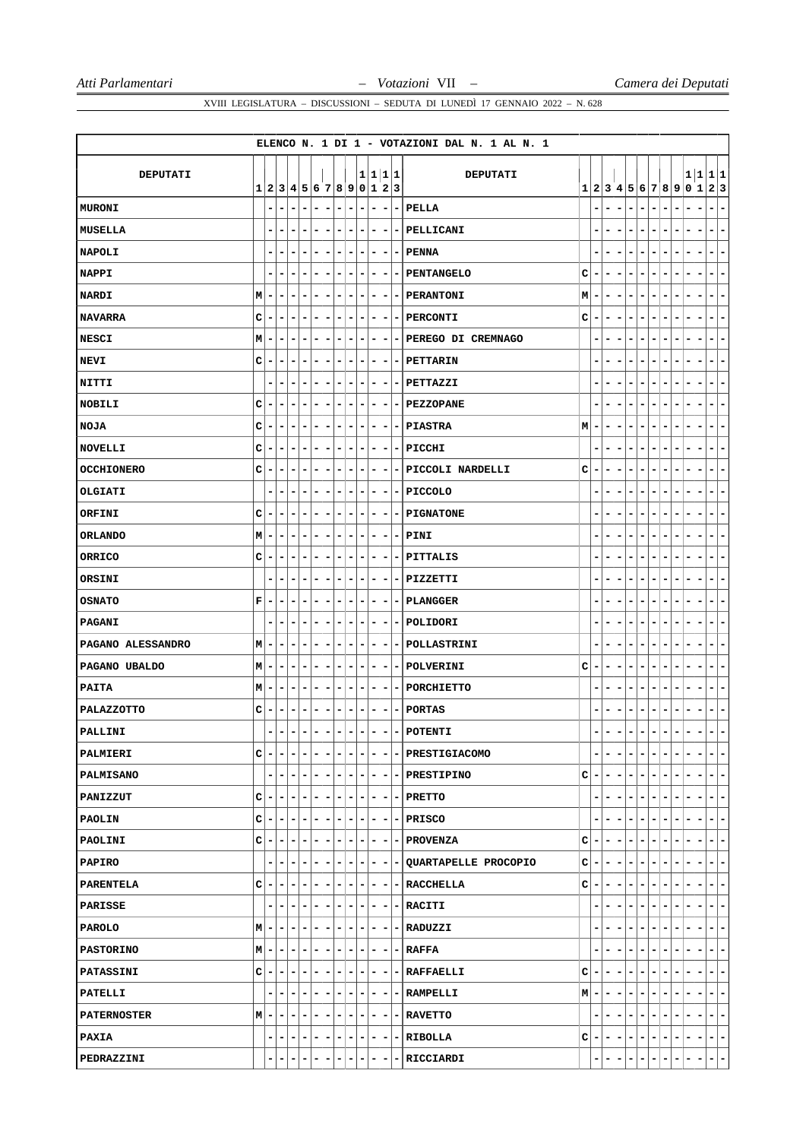|                    |              |   |                         |                          |                          |       |                          |                          |                              |                |                          |                          |         | ELENCO N. 1 DI 1 - VOTAZIONI DAL N. 1 AL N. 1 |   |                          |   |                          |   |                               |                               |    |     |   |                                            |
|--------------------|--------------|---|-------------------------|--------------------------|--------------------------|-------|--------------------------|--------------------------|------------------------------|----------------|--------------------------|--------------------------|---------|-----------------------------------------------|---|--------------------------|---|--------------------------|---|-------------------------------|-------------------------------|----|-----|---|--------------------------------------------|
| DEPUTATI           |              |   |                         |                          |                          |       |                          |                          |                              |                |                          |                          | 1 1 1 1 | <b>DEPUTATI</b>                               |   |                          |   |                          |   |                               |                               |    |     |   | 1 1 1 1                                    |
|                    | $\mathbf{1}$ |   | 2 3 4 5 6 7 8 9 0 1 2 3 |                          |                          |       |                          |                          |                              |                |                          |                          |         |                                               |   |                          |   |                          |   | 1 2 3 4 5 6 7 8 9             |                               |    | 0 1 |   | 2 3                                        |
| MURONI             |              | - | ۰                       |                          | $\overline{a}$           | -     | -                        | -                        | -                            | -              | Ē,                       | -                        | -       | PELLA                                         |   |                          | - | -                        | - | $\blacksquare$                | -                             |    | ۰   | - | $\overline{\phantom{a}}$<br>-              |
| MUSELLA            |              |   |                         |                          |                          | -     |                          |                          |                              | -              | -                        | -                        | -       | PELLICANI                                     |   |                          |   |                          |   |                               |                               |    |     |   | $\qquad \qquad \blacksquare$<br>-          |
| <b>NAPOLI</b>      |              | - | ۰                       | -                        | -                        | -     | ۰                        | $\overline{\phantom{0}}$ | -                            | ۰              | ۰                        | $\overline{\phantom{a}}$ | ٠       | <b>PENNA</b>                                  |   |                          | ۰ |                          | - | -<br>۰                        | -                             |    |     |   | -<br>-                                     |
| <b>NAPPI</b>       |              |   | -                       |                          | -                        | -     | -                        | -                        | -                            | -              | ۰                        | ۰                        | -       | PENTANGELO                                    | с | -                        |   |                          | ۰ |                               | -                             |    |     |   | -<br>-                                     |
| <b>NARDI</b>       | М            | - | ۰                       | -                        | ۰                        | ۳     | -                        | ۰                        | -                            | ۰              | -                        | -                        | -       | <b>PERANTONI</b>                              | М | ۰                        | ۰ | -                        | - | ٠<br>-                        | -                             |    |     | ۰ | -<br>-                                     |
| <b>NAVARRA</b>     | C            |   | -                       |                          | -                        | -     | -                        |                          | -                            | -              | -                        | -                        | -       | PERCONTI                                      | с | ۰                        |   |                          |   |                               |                               |    |     |   | -<br>-                                     |
| <b>NESCI</b>       | М            |   | -                       | -                        | -                        | -     | -                        | -                        | -                            | -              | ۰                        | -                        |         | PEREGO DI CREMNAGO                            |   |                          |   |                          |   | ٠                             | -                             |    |     |   | -<br>۳                                     |
| <b>NEVI</b>        | с            | - | ۰                       | -                        | ۰                        | ۰     | ۰                        | -                        | ۰                            | ۰              | ۰                        | -                        | Ξ.      | <b>PETTARIN</b>                               |   | ۰                        | - |                          |   | -<br>۰                        |                               |    |     |   | -<br>-                                     |
| NITTI              |              | - | -                       | -                        | -                        | -     | -                        | -                        | ۳                            | -              | -                        | -                        | -       | PETTAZZI                                      |   |                          | - |                          |   | ۰                             | -                             |    | ۰   |   | -<br>-                                     |
| <b>NOBILI</b>      | C            |   | -                       | -                        | -                        | -     | -                        | -                        | -                            | -              | ۰                        | -                        | -       | <b>PEZZOPANE</b>                              |   |                          |   |                          | - | ۰                             | -                             |    |     |   | -<br>-                                     |
| <b>NOJA</b>        | c            | - | ۰                       | -                        | -                        | -     | ۰                        | -                        | -                            | ۰              | -                        | -                        | Ξ.      | <b>PIASTRA</b>                                | M | ۰                        | - | -                        | - | -<br>۰                        |                               |    |     |   | -<br>۰                                     |
| <b>NOVELLI</b>     | C            |   | ۰                       | -                        | -                        | -     | ۰                        | -                        | ۳                            | -              | ۰                        | -                        | Ξ.      | PICCHI                                        |   | ۰                        | - |                          |   | ۰                             |                               |    |     |   | -<br>-                                     |
| <b>OCCHIONERO</b>  | C            |   | -                       | -                        | -                        | -     | ۰                        | -                        | -                            | -              | ۰                        | -                        | ۰       | PICCOLI NARDELLI                              | c | -                        | - | -                        | - | -<br>$\overline{a}$           | -                             |    | ۰   | - | -<br>-                                     |
| OLGIATI            |              | - | ۰                       | -                        | -                        | -     | -                        | -                        | -                            | -              | -                        | -                        | -       | <b>PICCOLO</b>                                |   |                          | - |                          |   | ۰                             |                               |    |     |   | -<br>-                                     |
| <b>ORFINI</b>      | C            |   | -                       |                          | -                        | -     | -                        | ۰                        | -                            | -              | ۰                        | -                        |         | <b>PIGNATONE</b>                              |   |                          |   |                          |   |                               |                               |    |     |   |                                            |
| <b>ORLANDO</b>     | M            |   | ۰                       | -                        | -                        | -     | ۰                        | -                        | -                            | ۰              | ۰                        | -                        | ۰       | PINI                                          |   | ۰                        | - | -                        | - | -<br>-                        | -                             |    | ۰   |   | ۰<br>۰                                     |
| ORRICO             | с            | - | ۰                       | -                        | -                        | -     | -                        | -                        | ۰                            | -              | ۰                        | -                        | -       | PITTALIS                                      |   | ٠                        | - | -                        | - | ۰                             | -                             |    |     | - | -<br>-                                     |
| ORSINI             |              | - | ۰                       |                          |                          | ۰     | -                        | -                        | ۰                            | -              | -                        | -                        | -       | PIZZETTI                                      |   |                          |   |                          |   |                               |                               |    |     |   | -<br>-                                     |
| <b>OSNATO</b>      | F            | - | ۰                       | -                        | ۰                        | -     | ۰                        | -                        | -                            | ۰              | -                        | -                        | ۰       | <b>PLANGGER</b>                               |   | ۰                        | ۰ |                          | - | -<br>۰                        | -                             |    |     |   | ۰<br>۰                                     |
| <b>PAGANI</b>      |              |   | -                       | -                        | -                        | -     | ۰                        | -                        | -                            | -              | ۰                        | -                        | -       | POLIDORI                                      |   | ۰                        | - |                          | - |                               | -                             |    |     |   | -                                          |
| PAGANO ALESSANDRO  | М            | ۰ | ۰                       | -                        | -                        | ۰     | ۰                        | -                        | -                            | -              | -                        | -                        | -       | <b>POLLASTRINI</b>                            |   | -                        | - |                          |   | -<br>٠                        | -                             |    |     |   | -<br>۰                                     |
| PAGANO UBALDO      | М            |   | -                       | ۰                        | -                        | -     | ۰                        | -                        | ۰                            | -              | ۰                        | -                        | -       | POLVERINI                                     | с | -                        | - |                          |   | ۰                             |                               |    |     |   | -<br>-                                     |
| PAITA              | М            |   | -                       | -                        | -                        | -     | -                        | -                        | -                            | -              | -                        | -                        | ۰       | PORCHIETTO                                    |   | ۰                        | - |                          | - |                               |                               |    |     |   | -<br>۰                                     |
| <b>PALAZZOTTO</b>  | с            | - | ۰                       |                          | -                        | ۰     | -                        | -                        | -                            | -              | ٠                        | -                        | -       | <b>PORTAS</b>                                 |   |                          |   |                          |   |                               |                               |    |     |   | -<br>-                                     |
| PALLINI            |              | - | -                       | -                        | -                        | -     | -                        |                          | -                            | -              | ٠                        | -                        |         | - POTENTI                                     |   |                          |   |                          |   | ۰                             |                               |    |     |   | -                                          |
| <b>PALMIERI</b>    | с            | - | -                       |                          | $\overline{\phantom{a}}$ | ۰     | ۰                        | $\overline{\phantom{a}}$ | $\qquad \qquad \blacksquare$ | -              | -                        | $\overline{\phantom{a}}$ |         | -  PRESTIGIACOMO                              |   | ۰                        |   |                          | - | $\overline{\phantom{a}}$      | -                             |    |     |   | ۰<br>۰.                                    |
| <b>PALMISANO</b>   |              | ۰ | ۰                       | $\overline{\phantom{a}}$ | -                        | ۰     | ۰                        | -                        | ۰                            | ۰              | $\overline{\phantom{a}}$ |                          |         | $- - PRESTIPINO$                              | с | ۰                        | - | $\overline{\phantom{a}}$ | - | ۰<br>۰                        |                               | Ξ. | -   | - | ÷.<br>-                                    |
| PANIZZUT           | с            |   | -                       |                          | $\overline{\phantom{a}}$ | ۰     | $\overline{\phantom{a}}$ | $\overline{\phantom{a}}$ | $\overline{\phantom{a}}$     | -              | ۰                        | $\overline{\phantom{a}}$ |         | - PRETTO                                      |   |                          |   |                          |   | $\qquad \qquad \blacksquare$  | -                             |    | -   |   | $- -$                                      |
| <b>PAOLIN</b>      | c            | - | ۰                       | -                        | -                        | ۰     | $\overline{\phantom{a}}$ | ۰                        | -                            | ۰              | ۰                        | $\overline{\phantom{a}}$ |         | -IPRISCO                                      |   | ۰                        |   |                          | - | ۰<br>-                        | -                             | -  | ۰   | - | Ξ.<br>-                                    |
| <b>PAOLINI</b>     | c            | - | ۰                       |                          | -                        | ۰     | ۰                        | ۰                        | ۰                            | ۰              | -                        | $\overline{\phantom{a}}$ |         | -   PROVENZA                                  | c | ۰                        | ۰ | -                        | - | ۰<br>-                        |                               | -  | ۰   | - | - 1<br>-                                   |
| PAPIRO             |              |   |                         |                          |                          | ۳     | -                        | ۰                        | ۰                            | -              | -                        | -                        |         | - QUARTAPELLE PROCOPIO                        | с | ٠                        |   |                          |   |                               |                               |    |     |   | $\overline{\phantom{a}}$<br>- 1            |
| <b>PARENTELA</b>   | c            | ۰ | - 1                     | -                        | $\overline{\phantom{a}}$ | $-1-$ |                          | $\blacksquare$           | $\overline{\phantom{a}}$     | ٠              | ۰.                       |                          |         | $- - $ RACCHELLA                              | c | ۰                        | - | -                        | ۰ | ۰                             | $\overline{\phantom{a}}$<br>- | ۰  | ۰   | ۰ | $\overline{\phantom{a}}$<br>÷.             |
| PARISSE            |              | - | ۰                       | ٠                        | -                        | ٠     | ۰                        | -                        | ۰                            | ۰              | ۰                        | $\overline{\phantom{a}}$ |         | - RACITI                                      |   | -                        | - | ۰                        | - | ۰<br>۰                        | -                             | Ξ. | ۰   | - | - 1<br>-                                   |
| <b>PAROLO</b>      | M            |   | ۰                       |                          | ۰                        | -     | ۰                        | ۰                        | ۰                            | ۰              | -                        | ۰                        |         | - RADUZZI                                     |   |                          |   |                          |   | -                             |                               |    |     |   | - 1<br>-                                   |
| <b>PASTORINO</b>   | M            | ۰ | - 1                     | $\overline{\phantom{a}}$ | -                        | - 1   | ۰                        | $\overline{\phantom{a}}$ | ۰                            | ۰              | ۰.                       | $\overline{\phantom{a}}$ |         | $- RAFFA $                                    |   | ۰                        | - | ۰                        | - | ۰<br>۰                        | ۰                             | -  | -   | - | $\overline{\phantom{a}}$<br>$\blacksquare$ |
| <b>PATASSINI</b>   | с            | ۰ | -                       | ۰                        | ۰                        | ۰     | $\overline{\phantom{a}}$ | $\overline{\phantom{a}}$ | ۰                            | ۰              | -                        | $\overline{\phantom{a}}$ |         | $-$   RAFFAELLI                               | с | $\overline{\phantom{a}}$ | - | ۰                        | ۰ | ۰<br>$\overline{\phantom{a}}$ | -                             | ۰  | -   | ۰ | $\blacksquare$<br>$\overline{\phantom{a}}$ |
| PATELLI            |              | - | ۰                       |                          | ۰                        | -     | ۰                        | ۰                        | -                            | ۰              | -                        | -                        |         | - RAMPELLI                                    | M | -                        |   |                          |   | -<br>-                        |                               |    |     |   | - 1<br>-                                   |
| <b>PATERNOSTER</b> | M            | ۰ | ۰                       | $\overline{\phantom{a}}$ | $\blacksquare$           | $-1$  | ٠                        | $\blacksquare$           | $\overline{\phantom{a}}$     | ۰              | - 1                      | ۰                        |         | <b>- RAVETTO</b>                              |   | ۰                        | ۰ | ۰                        | - | ۰<br>$\overline{\phantom{a}}$ | ۰                             | ۰  | ۰   | - | E.<br>H.                                   |
| PAXIA              |              | - | ۰                       | ۰                        | $\overline{\phantom{a}}$ | $ -$  |                          | $\overline{a}$           | $\blacksquare$               | $\overline{ }$ | $-1$                     | $\blacksquare$           |         | - RIBOLLA                                     | с | ۰                        | ۰ | Ξ.                       | - | ۰                             | $\overline{\phantom{a}}$<br>۰ | ۰  | ۰   | - | $ -$                                       |
| PEDRAZZINI         |              | - | -                       |                          | Ξ.                       | ٠     | ٠                        | ۰                        | -                            | ۰              | ۰                        | -                        |         | RICCIARDI                                     |   |                          |   | -                        | ۳ | -<br>-                        | ۳                             | ۰. | Ξ   | ۰ | $\lceil - \rceil$                          |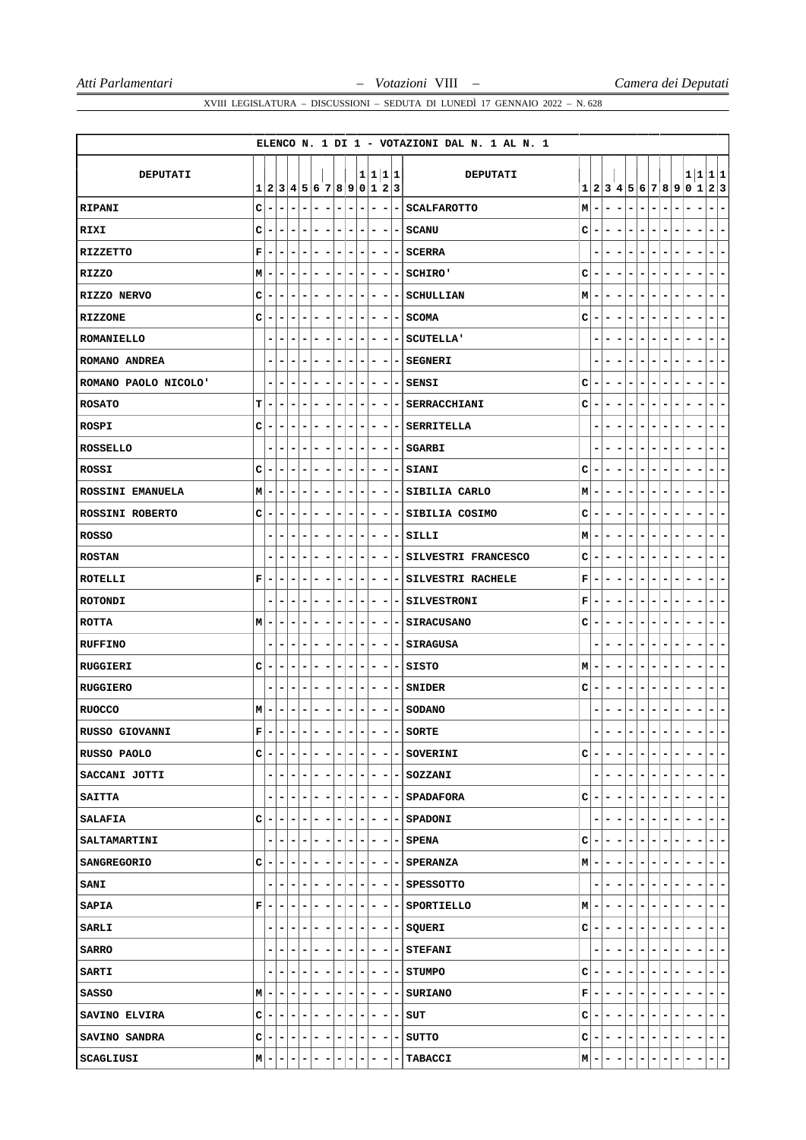|                        |             |   |                                   |                              |                                            |                          |                          |                          |                          |         |                          |                          |                          | ELENCO N. 1 DI 1 - VOTAZIONI DAL N. 1 AL N. 1 |   |                          |   |                          |   |                       |                          |         |   |   |                                            |
|------------------------|-------------|---|-----------------------------------|------------------------------|--------------------------------------------|--------------------------|--------------------------|--------------------------|--------------------------|---------|--------------------------|--------------------------|--------------------------|-----------------------------------------------|---|--------------------------|---|--------------------------|---|-----------------------|--------------------------|---------|---|---|--------------------------------------------|
|                        |             |   |                                   |                              |                                            |                          |                          |                          |                          |         |                          |                          |                          |                                               |   |                          |   |                          |   |                       |                          |         |   |   |                                            |
| DEPUTATI               | 1           |   | 2 3 4 5 6 7 8 9 0 1 2 3           |                              |                                            |                          |                          |                          |                          | 1 1 1 1 |                          |                          |                          | DEPUTATI                                      |   |                          |   |                          |   | 1 2 3 4 5 6 7 8 9 0 1 |                          |         |   |   | 1 1 1 1<br> 2 3                            |
| RIPANI                 | C           |   | -                                 | $\overline{a}$               | -                                          | -                        | -                        | -                        |                          | -       | -                        | -                        | -                        | <b>SCALFAROTTO</b>                            | M | -                        |   |                          | - |                       | $\blacksquare$           | -       |   |   | $\qquad \qquad \blacksquare$<br>-          |
| RIXI                   | c           |   |                                   |                              | -                                          |                          |                          | -                        |                          | -       | -                        | -                        | -                        | <b>SCANU</b>                                  | c | ۰                        |   |                          |   |                       |                          |         |   |   | $\qquad \qquad \blacksquare$<br>-          |
| RIZZETTO               | $\mathbf F$ |   | ۰<br>۰                            | -                            | -                                          | ۰                        | -                        | -                        | ۰                        |         | ۰                        | $\overline{\phantom{a}}$ | ٠                        | <b>SCERRA</b>                                 |   |                          | - |                          | - | -                     | ۰                        |         |   |   | -<br>۰                                     |
| RIZZO                  | Μ           |   | ۰                                 | -                            | -                                          | -                        | -                        | -                        | -                        |         | ۰                        | ۰                        | -                        | SCHIRO'                                       | c | ۰                        |   |                          | ۰ |                       |                          | -       |   |   | -<br>-                                     |
| RIZZO NERVO            | c           | - | ۰                                 | -                            | ۰                                          | ۰                        | -                        | -                        |                          | -       | -                        | -                        | -                        | SCHULLIAN                                     | М | ۰                        | ۰ | -                        | - | -                     | -                        | -       |   |   | -<br>-                                     |
| RIZZONE                | c           |   | -                                 | -                            | -                                          |                          | -                        | -                        | -                        |         | -                        | -                        | -                        | <b>SCOMA</b>                                  | с | -                        |   |                          |   |                       |                          |         |   |   | -<br>-                                     |
| <b>ROMANIELLO</b>      |             |   | ۰                                 |                              | -                                          | -                        | -                        | -                        | -                        |         | ۰                        | -                        |                          | <b>SCUTELLA'</b>                              |   |                          |   |                          |   |                       | ۰                        | -       |   |   | -                                          |
| <b>ROMANO ANDREA</b>   |             | - | ۰<br>-                            | -                            | ۰                                          | ۰                        | -                        | ۰                        | -                        |         | ٠                        | -                        | -                        | <b>SEGNERI</b>                                |   | ۰                        | - |                          | - | -                     | ٠                        |         |   |   | -<br>-                                     |
| ROMANO PAOLO NICOLO'   |             | - | -                                 | -<br>-                       | -                                          | -                        | -                        | -                        |                          | -       | -                        | -                        | -                        | SENSI                                         | с | -                        | - | -                        |   |                       | $\overline{a}$           | -       | ۰ |   | -<br>-                                     |
| <b>ROSATO</b>          | т           |   | -                                 | -                            | -                                          | -                        | -                        | -                        |                          | -       |                          | -                        |                          | SERRACCHIANI                                  | c | -                        |   |                          |   |                       | ۰                        | -       |   |   | -                                          |
| ROSPI                  | c           | - | ۰                                 | -                            | -<br>-                                     | ۰                        | $\overline{\phantom{0}}$ | -                        |                          | -       | -                        | -                        | -                        | <b>SERRITELLA</b>                             |   |                          | - |                          |   | -                     | ۰                        |         |   |   | -<br>۰                                     |
| <b>ROSSELLO</b>        |             | - | $\overline{a}$                    | -                            | -                                          | ۰                        | -                        | ۳                        | -                        |         | ۰                        | -                        | -                        | <b>SGARBI</b>                                 |   |                          |   |                          |   |                       |                          |         |   |   | -<br>-                                     |
| ROSSI                  | C           |   | -                                 | -<br>-                       | -                                          | ۰                        | -                        | -                        | ۰                        |         | ۰                        | -                        | Ξ.                       | <b>SIANI</b>                                  | c | -                        | - | -                        | - | -                     | $\overline{a}$           | -       | ۰ |   | -<br>-                                     |
| ROSSINI EMANUELA       | М           | - | ۰                                 |                              | -<br>-                                     |                          | -<br>-                   | -                        |                          | -       | -                        | -                        | -                        | SIBILIA CARLO                                 | М | ۰                        |   |                          | - |                       | $\overline{a}$           |         |   |   | -<br>-                                     |
| <b>ROSSINI ROBERTO</b> | c           |   | -                                 |                              | -                                          | -                        | ۰                        |                          |                          |         | ۰                        |                          |                          | SIBILIA COSIMO                                | c | ۰                        |   |                          |   |                       |                          |         |   |   |                                            |
| <b>ROSSO</b>           |             | ۰ | ۰                                 | -<br>۰                       | -                                          | ۰                        | -                        | -                        | ۰                        |         | ۰                        | -                        | ۰                        | SILLI                                         | М | ۰                        | - | -                        | ۰ | -                     | -                        | -       |   |   | ۰<br>-                                     |
| <b>ROSTAN</b>          |             |   | -                                 | -                            | -                                          | -                        | -                        | -                        | -                        |         | ۰                        | -                        |                          | SILVESTRI FRANCESCO                           | с | ۰                        | - |                          | - |                       | ۰                        | -       |   |   | -<br>-                                     |
| ROTELLI                | F           |   | ۰                                 | -<br>-                       | ۰                                          | -                        | -                        | ۰                        |                          | -       | -                        | -                        |                          | SILVESTRI RACHELE                             | F | ۰                        |   |                          |   |                       |                          |         |   |   | -<br>-                                     |
| <b>ROTONDI</b>         |             | - | ۰<br>-                            | -                            | -                                          | ۰                        | -                        | -                        | ۰                        |         | -                        | -                        | ۰                        | <b>SILVESTRONI</b>                            | F | ۰                        | - |                          | - | -                     | ۰                        | -       |   |   | ۰<br>۰                                     |
| ROTTA                  | М           |   | ۰                                 | -                            | -                                          | -                        | -                        | -                        | -                        |         | ۰                        | -                        |                          | <b>SIRACUSANO</b>                             | c | ۰                        |   |                          | ۰ |                       |                          | -       |   |   | -<br>۰                                     |
| <b>RUFFINO</b>         |             | - | ۰                                 | -                            | -                                          | ۰                        | -                        | -                        | -                        |         | -                        | -                        | -                        | SIRAGUSA                                      |   |                          |   |                          |   |                       | ٠                        |         |   |   | -<br>۰                                     |
| RUGGIERI               | c           |   | -                                 | -                            | -                                          | ۰                        | -                        | -                        | -                        |         | ۰                        | -                        | -                        | SISTO                                         | м | ۰                        |   |                          |   |                       |                          |         |   |   | -<br>-                                     |
| <b>RUGGIERO</b>        |             |   | -                                 | -                            | -                                          | -                        | -                        | -                        | -                        |         | ۰                        | -                        | -                        | <b>SNIDER</b>                                 | c | -                        |   |                          | - |                       |                          |         |   |   | -<br>۰                                     |
| <b>RUOCCO</b>          | M           |   | ۰                                 | -                            | ۰                                          | -                        | -                        | -                        | -                        |         | ۰                        | -                        | -                        | <b>SODANO</b>                                 |   |                          |   |                          |   |                       |                          |         |   |   | -<br>-                                     |
| RUSSO GIOVANNI         | $\mathbf F$ | - | -<br>$\qquad \qquad \blacksquare$ | $\qquad \qquad \blacksquare$ | -                                          | -                        | -                        | -                        | -                        |         | ۰                        | ۳                        | -                        | <b>SORTE</b>                                  |   |                          |   |                          |   | ۰                     |                          |         |   |   | -                                          |
| RUSSO PAOLO            | c           |   | -                                 | -                            | -                                          | ۰                        | $\overline{\phantom{0}}$ | -                        | -                        |         | -                        | $\overline{\phantom{a}}$ | ۰                        | <b>SOVERINI</b>                               | с | $\overline{\phantom{a}}$ |   |                          | - |                       | $\overline{\phantom{0}}$ | -       |   |   | ۰<br>-                                     |
| SACCANI JOTTI          |             | ۰ | ۰<br>۰                            | -                            | ٠                                          | ۰                        | -                        | -                        | ۰                        |         | - 1                      | $\overline{\phantom{a}}$ |                          | - SOZZANI                                     |   | -                        | - | ۰                        | - | ۰                     | -                        | Ξ.      | ۰ |   | ۰.<br>-                                    |
| <b>SAITTA</b>          |             |   | -                                 | -                            | -                                          | ۰                        | $\overline{\phantom{a}}$ | -                        |                          | ۰       | ۰                        | $\overline{\phantom{a}}$ |                          | - SPADAFORA                                   | с | -                        |   |                          |   | -                     | -                        | -       |   |   | ÷.<br>$\overline{ }$                       |
| SALAFIA                | c           |   | -                                 |                              | ۰<br>-                                     | ۰                        | ۰                        | -                        | ۰                        |         | ۰                        | $\overline{\phantom{a}}$ | $\overline{\phantom{a}}$ | SPADONI                                       |   | ۰                        |   |                          | - | -                     | -                        | -<br>-  | ۰ |   | Ξ.<br>-                                    |
| SALTAMARTINI           |             | - | ۰                                 |                              | -<br>۳                                     | ۰                        | -                        | ۰                        |                          | ۰       | ۰                        | ٠                        | ۰                        | <b>SPENA</b>                                  | c | ۰                        | ۰ |                          | - | ۰                     | -                        | -       | - | - | - 1<br>-                                   |
| <b>SANGREGORIO</b>     | с           |   |                                   |                              | ۳                                          | ۰                        | ٠                        | ٠                        |                          | ۰       | ۰                        | ٠                        |                          | -   SPERANZA                                  | M | ۰                        |   |                          |   |                       |                          |         |   |   | -<br>۰.                                    |
| SANI                   |             | ۰ | -                                 | ۰                            | - 1<br>-                                   | ۰                        | $\overline{\phantom{a}}$ | ۰                        | ٠                        |         | -                        |                          |                          | $- - $ SPESSOTTO                              |   | ۰                        | ۰ | ۰                        | - | ۰                     | -                        | -<br>-  | ۰ | - | ÷.<br>$\overline{\phantom{a}}$             |
| <b>SAPIA</b>           | F           | ۰ | ۰                                 | ۰                            | ۰<br>۰                                     | ۰                        | ۰                        | ۰                        |                          | ۰       | -                        | $\overline{\phantom{a}}$ |                          | - SPORTIELLO                                  | M | ۰                        | ۰ | ۰                        | - | ۰                     | ۰                        | -<br>-  | - | - | - 1<br>۰                                   |
| <b>SARLI</b>           |             |   | -                                 |                              | -                                          | ۰                        | ۰                        | -                        |                          | -       | -                        | ۰                        |                          | - SQUERI                                      | c | ٠                        |   |                          |   |                       |                          |         |   |   | ۰.<br>-                                    |
| <b>SARRO</b>           |             | - | ۰<br>-                            |                              | ۰<br>-                                     | ۰                        | Ξ.                       | ۰                        | ۰                        |         | ۰.                       | $\overline{\phantom{a}}$ |                          | - STEFANI                                     |   | ۰                        | - |                          | - | ۰                     | -<br>۰                   | -       | ۰ |   | $\overline{\phantom{a}}$<br>$\blacksquare$ |
| <b>SARTI</b>           |             | - | -                                 | -                            | -<br>۰                                     | ۰                        | $\overline{\phantom{a}}$ | -                        |                          | ۰       | -                        | ۰                        |                          | - STUMPO                                      | с | $\overline{\phantom{a}}$ | - | ۰                        | ۰ | ۰                     | ۰                        | -<br>۰  | - | - | - 1<br>-                                   |
| SASSO                  | M           | ۰ | -<br>۰                            |                              | ۰<br>-                                     | ۰                        | ۰                        | ۰                        |                          | ۰       | -                        | ٠                        |                          | - SURIANO                                     | F | ۰                        |   |                          |   |                       |                          |         |   |   | - 1<br>-                                   |
| SAVINO ELVIRA          | с           | ۰ | ۰<br>$\overline{\phantom{a}}$     |                              | - 1<br>-                                   | $\overline{\phantom{a}}$ | $\blacksquare$           | $\overline{\phantom{a}}$ | ٠                        |         | -                        | ۰                        | - 1                      | SUT                                           | с | ۰                        | ۰ | $\overline{\phantom{a}}$ | ۰ | ۰                     | -                        | ۰<br>۰  | ۰ |   | $\overline{\phantom{a}}$<br>÷.             |
| SAVINO SANDRA          | с           | - | ۰<br>۰                            |                              | $\blacksquare$<br>$\overline{\phantom{a}}$ | $\blacksquare$           | $\overline{a}$           | $\blacksquare$           | $\overline{\phantom{a}}$ |         | $\overline{\phantom{a}}$ | $\blacksquare$           |                          | - SUTTO                                       | с | ۰                        | ۰ | -                        | - | ۰                     | ۰                        | ۰<br>۰  | - | ۰ | $ -$                                       |
| SCAGLIUSI              | M           |   | -                                 | -                            | ۳                                          | ٠                        | ۰                        |                          |                          |         |                          |                          |                          | <b>TABACCI</b>                                | M |                          |   | -                        |   | ۰                     | -                        | ۳<br>۰. | ٠ |   | $- -$                                      |